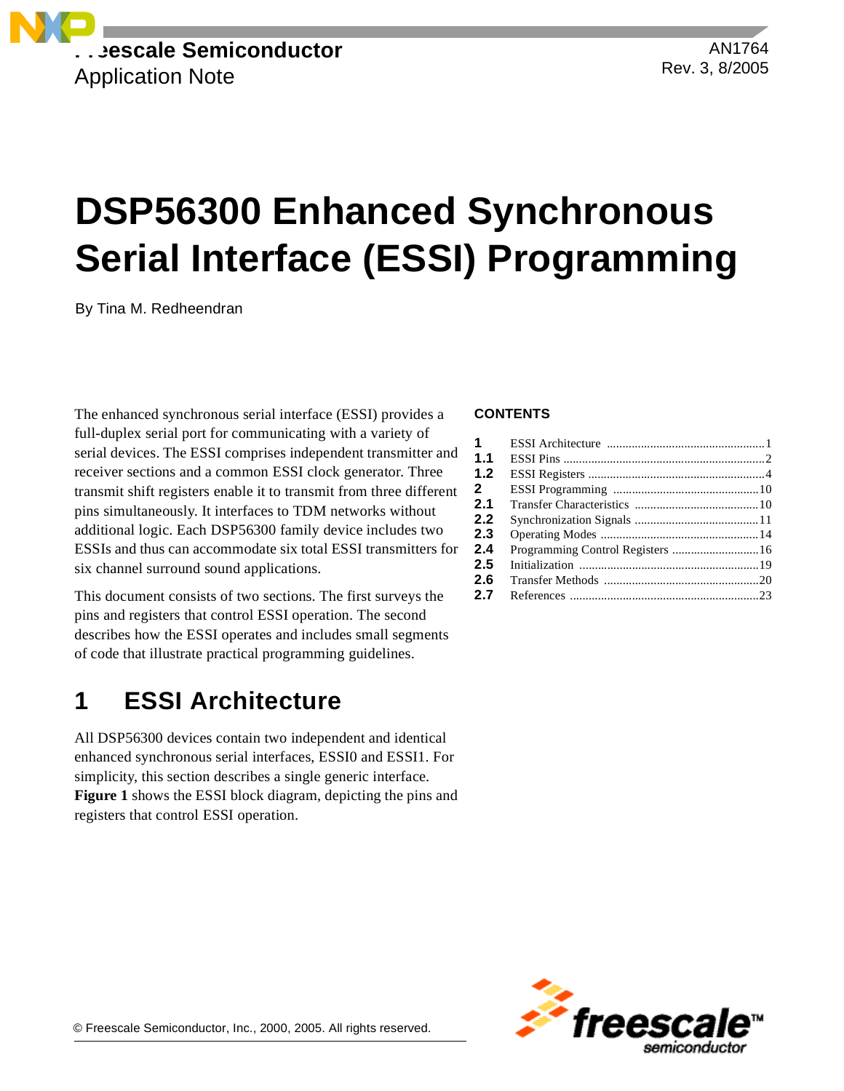

AN1764 Rev. 3, 8/2005

# **DSP56300 Enhanced Synchronous Serial Interface (ESSI) Programming**

By Tina M. Redheendran

The enhanced synchronous serial interface (ESSI) provides a full-duplex serial port for communicating with a variety of serial devices. The ESSI comprises independent transmitter and receiver sections and a common ESSI clock generator. Three transmit shift registers enable it to transmit from three different pins simultaneously. It interfaces to TDM networks without additional logic. Each DSP56300 family device includes two ESSIs and thus can accommodate six total ESSI transmitters for six channel surround sound applications.

This document consists of two sections. The first surveys the pins and registers that control ESSI operation. The second describes how the ESSI operates and includes small segments of code that illustrate practical programming guidelines.

## **1 ESSI Architecture**

All DSP56300 devices contain two independent and identical enhanced synchronous serial interfaces, ESSI0 and ESSI1. For simplicity, this section describes a single generic interface. **[Figure 1](#page-1-0)** shows the ESSI block diagram, depicting the pins and registers that control ESSI operation.

#### **CONTENTS**

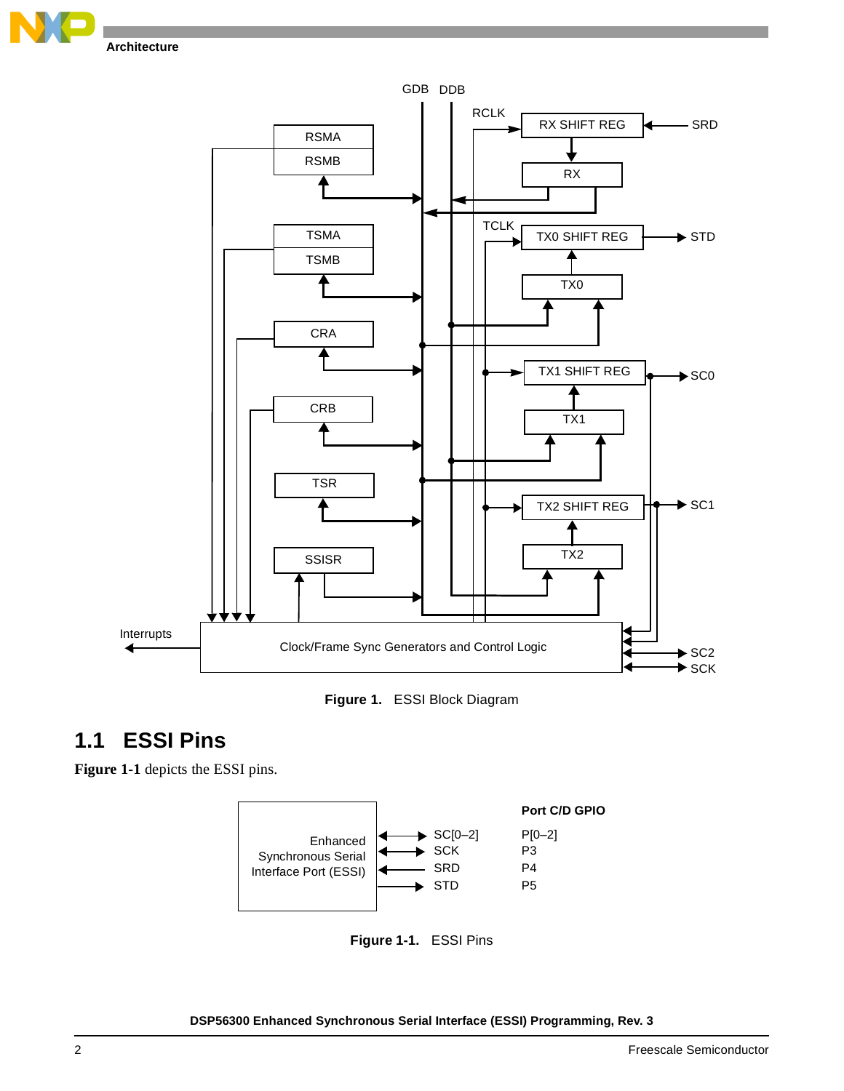





## <span id="page-1-0"></span>**1.1 ESSI Pins**

<span id="page-1-1"></span>**[Figure 1-1](#page-1-1)** depicts the ESSI pins.



**Figure 1-1.** ESSI Pins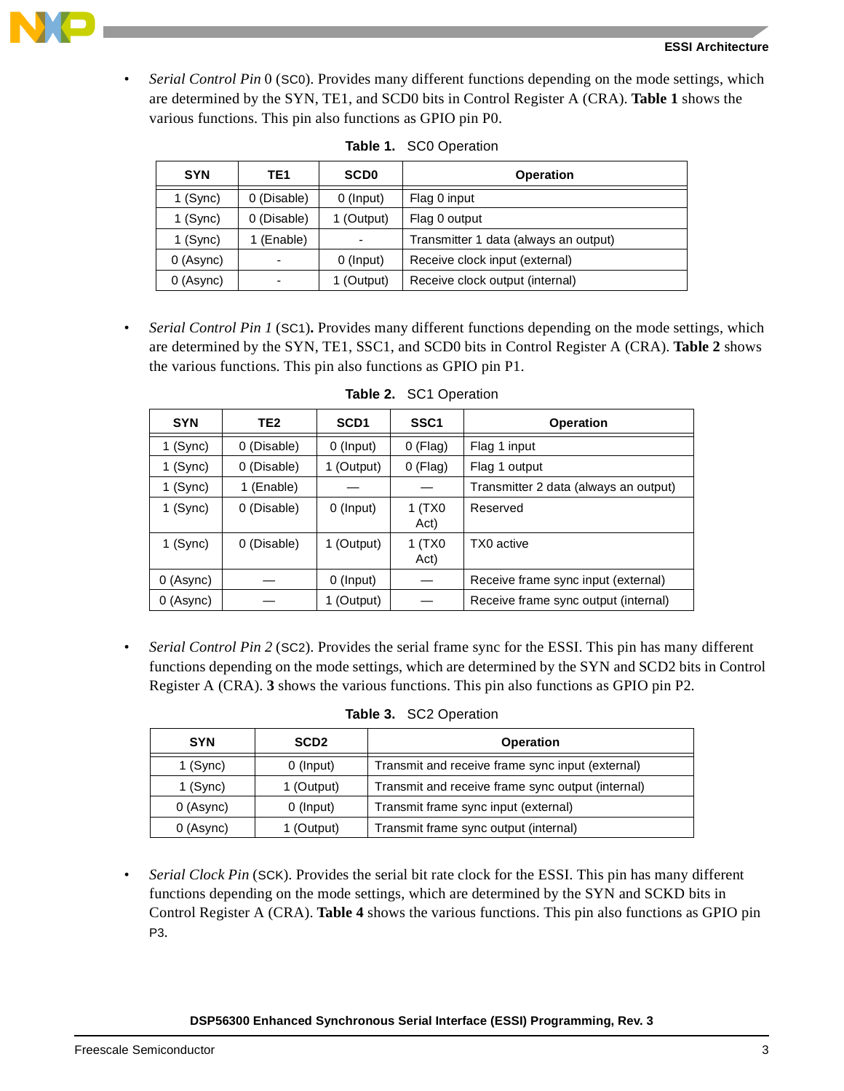

• *Serial Control Pin* 0 (SC0). Provides many different functions depending on the mode settings, which are determined by the SYN, TE1, and SCD0 bits in Control Register A (CRA). **[Table 1](#page-2-0)** shows the various functions. This pin also functions as GPIO pin P0.

<span id="page-2-0"></span>

| <b>SYN</b> | TE1         | <b>SCD0</b> | <b>Operation</b>                      |
|------------|-------------|-------------|---------------------------------------|
| $1$ (Sync) | 0 (Disable) | 0 (Input)   | Flag 0 input                          |
| $1$ (Sync) | 0 (Disable) | 1 (Output)  | Flag 0 output                         |
| $1$ (Sync) | 1 (Enable)  |             | Transmitter 1 data (always an output) |
| 0 (Async)  |             | 0 (Input)   | Receive clock input (external)        |
| 0 (Async)  |             | 1 (Output)  | Receive clock output (internal)       |

| Table 1. SC0 Operation |  |  |
|------------------------|--|--|
|                        |  |  |

• *Serial Control Pin 1* (SC1)**.** Provides many different functions depending on the mode settings, which are determined by the SYN, TE1, SSC1, and SCD0 bits in Control Register A (CRA). **[Table 2](#page-2-1)** shows the various functions. This pin also functions as GPIO pin P1.

<span id="page-2-1"></span>

| <b>SYN</b> | TE <sub>2</sub> | SCD <sub>1</sub> | SSC <sub>1</sub> | <b>Operation</b>                      |
|------------|-----------------|------------------|------------------|---------------------------------------|
| 1 (Sync)   | 0 (Disable)     | $0$ (Input)      | $0$ (Flag)       | Flag 1 input                          |
| 1 (Sync)   | 0 (Disable)     | 1 (Output)       | $0$ (Flag)       | Flag 1 output                         |
| 1 (Sync)   | (Enable)        |                  |                  | Transmitter 2 data (always an output) |
| 1 (Sync)   | 0 (Disable)     | $0$ (Input)      | 1(TX0<br>Act)    | Reserved                              |
| 1 (Sync)   | 0 (Disable)     | 1 (Output)       | 1(TX0<br>Act)    | TX0 active                            |
| 0 (Async)  |                 | 0 (Input)        |                  | Receive frame sync input (external)   |
| 0 (Async)  |                 | 1 (Output)       |                  | Receive frame sync output (internal)  |

**Table 2.** SC1 Operation

• *Serial Control Pin 2* (SC2). Provides the serial frame sync for the ESSI. This pin has many different functions depending on the mode settings, which are determined by the SYN and SCD2 bits in Control Register A (CRA). **[3](#page-2-2)** shows the various functions. This pin also functions as GPIO pin P2.

| Table 3. | <b>SC2 Operation</b> |
|----------|----------------------|
|----------|----------------------|

<span id="page-2-2"></span>

| <b>SYN</b>              | SCD <sub>2</sub> | <b>Operation</b>                                  |
|-------------------------|------------------|---------------------------------------------------|
| 0 (Input)<br>$1$ (Sync) |                  | Transmit and receive frame sync input (external)  |
| 1 (Sync)                | 1 (Output)       | Transmit and receive frame sync output (internal) |
| 0 (Async)<br>0 (Input)  |                  | Transmit frame sync input (external)              |
| 0 (Async)               | 1 (Output)       | Transmit frame sync output (internal)             |

• *Serial Clock Pin* (SCK). Provides the serial bit rate clock for the ESSI. This pin has many different functions depending on the mode settings, which are determined by the SYN and SCKD bits in Control Register A (CRA). **[Table 4](#page-3-0)** shows the various functions. This pin also functions as GPIO pin P3.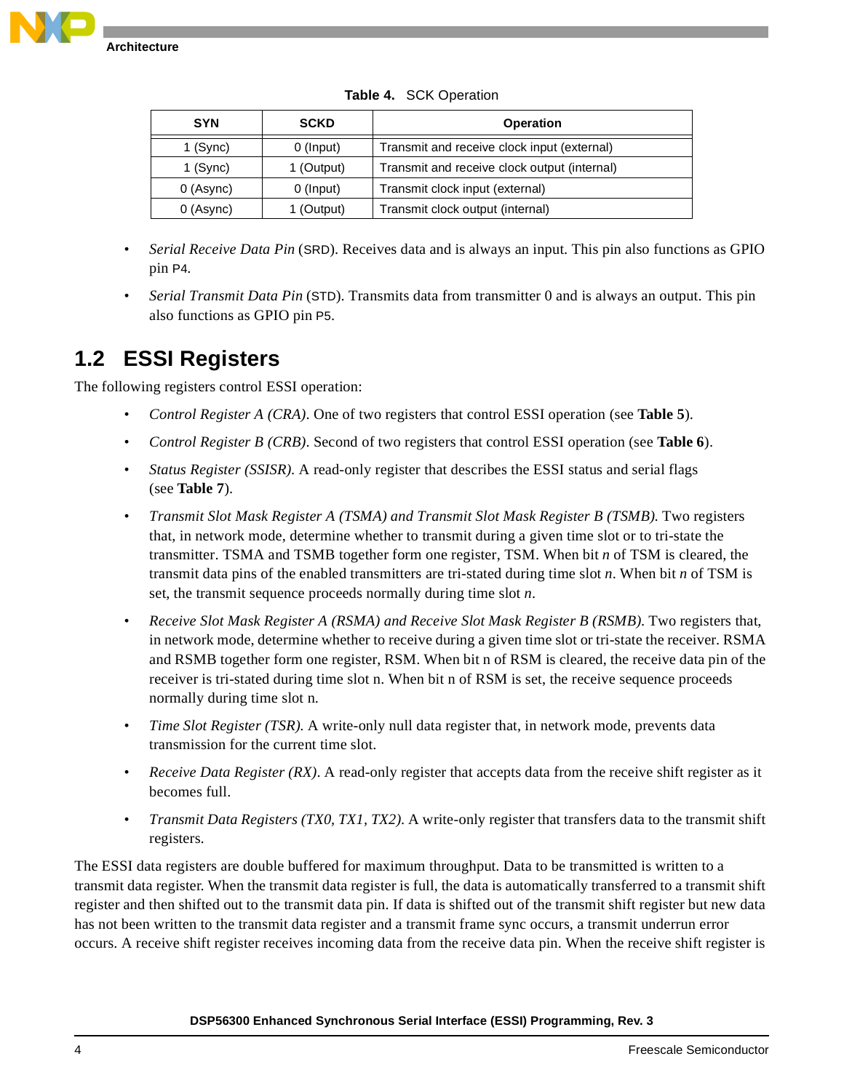

<span id="page-3-0"></span>

| <b>SYN</b> | <b>SCKD</b> | <b>Operation</b>                             |
|------------|-------------|----------------------------------------------|
| 1 $(Sync)$ | $0$ (Input) | Transmit and receive clock input (external)  |
| $1$ (Sync) | 1 (Output)  | Transmit and receive clock output (internal) |
| 0 (Async)  | $0$ (Input) | Transmit clock input (external)              |
| 0 (Async)  | 1 (Output)  | Transmit clock output (internal)             |

**Table 4.** SCK Operation

- *Serial Receive Data Pin* (SRD). Receives data and is always an input. This pin also functions as GPIO pin P4.
- *Serial Transmit Data Pin* (STD). Transmits data from transmitter 0 and is always an output. This pin also functions as GPIO pin P5.

## **1.2 ESSI Registers**

The following registers control ESSI operation:

- *Control Register A (CRA)*. One of two registers that control ESSI operation (see **[Table 5](#page-4-0)**).
- *Control Register B (CRB)*. Second of two registers that control ESSI operation (see **[Table 6](#page-5-0)**).
- *Status Register (SSISR)*. A read-only register that describes the ESSI status and serial flags (see **[Table 7](#page-7-0)**).
- *Transmit Slot Mask Register A (TSMA) and Transmit Slot Mask Register B (TSMB)*. Two registers that, in network mode, determine whether to transmit during a given time slot or to tri-state the transmitter. TSMA and TSMB together form one register, TSM. When bit *n* of TSM is cleared, the transmit data pins of the enabled transmitters are tri-stated during time slot *n*. When bit *n* of TSM is set, the transmit sequence proceeds normally during time slot *n*.
- *Receive Slot Mask Register A (RSMA) and Receive Slot Mask Register B (RSMB)*. Two registers that, in network mode, determine whether to receive during a given time slot or tri-state the receiver. RSMA and RSMB together form one register, RSM. When bit n of RSM is cleared, the receive data pin of the receiver is tri-stated during time slot n. When bit n of RSM is set, the receive sequence proceeds normally during time slot n.
- *Time Slot Register (TSR)*. A write-only null data register that, in network mode, prevents data transmission for the current time slot.
- *Receive Data Register (RX)*. A read-only register that accepts data from the receive shift register as it becomes full.
- *Transmit Data Registers (TX0, TX1, TX2)*. A write-only register that transfers data to the transmit shift registers.

The ESSI data registers are double buffered for maximum throughput. Data to be transmitted is written to a transmit data register. When the transmit data register is full, the data is automatically transferred to a transmit shift register and then shifted out to the transmit data pin. If data is shifted out of the transmit shift register but new data has not been written to the transmit data register and a transmit frame sync occurs, a transmit underrun error occurs. A receive shift register receives incoming data from the receive data pin. When the receive shift register is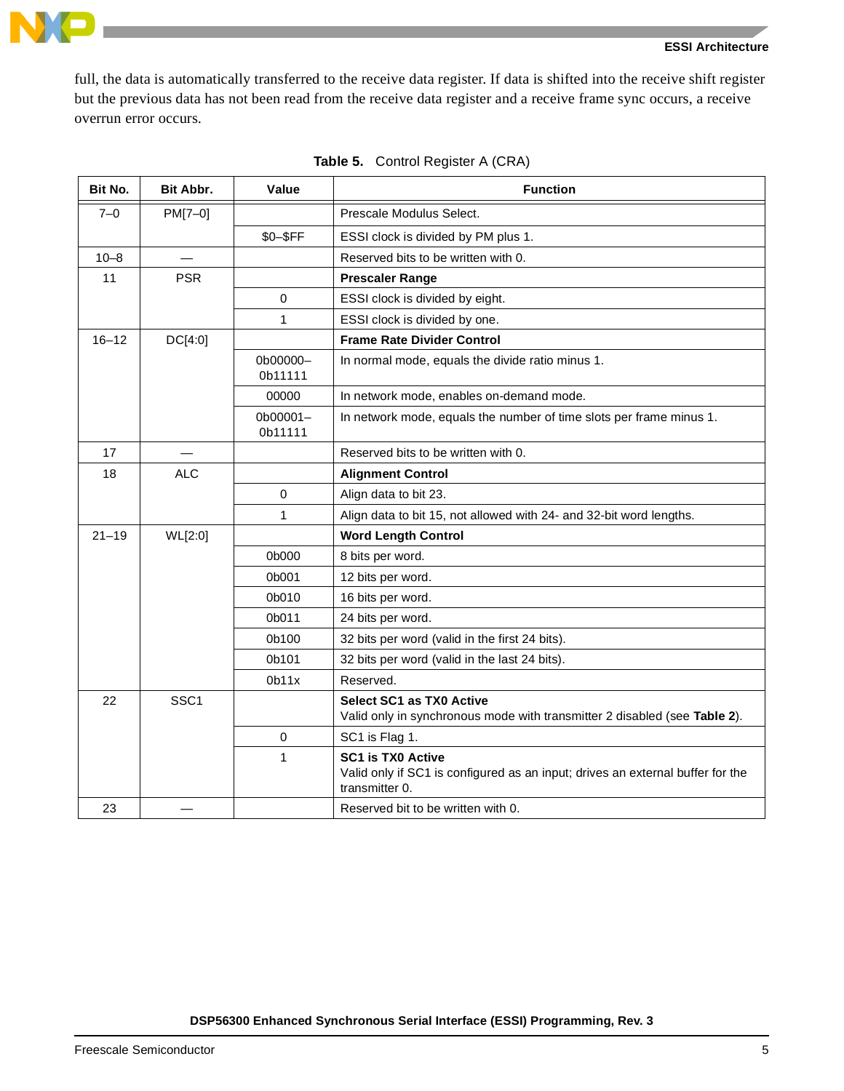

full, the data is automatically transferred to the receive data register. If data is shifted into the receive shift register but the previous data has not been read from the receive data register and a receive frame sync occurs, a receive overrun error occurs.

<span id="page-4-0"></span>

| Bit No.   | Bit Abbr.        | Value               | <b>Function</b>                                                                                                              |  |
|-----------|------------------|---------------------|------------------------------------------------------------------------------------------------------------------------------|--|
| $7 - 0$   | PM[7-0]          |                     | Prescale Modulus Select.                                                                                                     |  |
|           |                  | \$0-\$FF            | ESSI clock is divided by PM plus 1.                                                                                          |  |
| $10 - 8$  |                  |                     | Reserved bits to be written with 0.                                                                                          |  |
| 11        | <b>PSR</b>       |                     | <b>Prescaler Range</b>                                                                                                       |  |
|           |                  | $\Omega$            | ESSI clock is divided by eight.                                                                                              |  |
|           |                  | 1                   | ESSI clock is divided by one.                                                                                                |  |
| $16 - 12$ | DC[4:0]          |                     | <b>Frame Rate Divider Control</b>                                                                                            |  |
|           |                  | 0b00000-<br>0b11111 | In normal mode, equals the divide ratio minus 1.                                                                             |  |
|           |                  | 00000               | In network mode, enables on-demand mode.                                                                                     |  |
|           |                  | 0b00001-<br>0b11111 | In network mode, equals the number of time slots per frame minus 1.                                                          |  |
| 17        |                  |                     | Reserved bits to be written with 0.                                                                                          |  |
| 18        | <b>ALC</b>       |                     | <b>Alignment Control</b>                                                                                                     |  |
|           |                  | $\mathbf 0$         | Align data to bit 23.                                                                                                        |  |
|           |                  | 1                   | Align data to bit 15, not allowed with 24- and 32-bit word lengths.                                                          |  |
| $21 - 19$ | WL[2:0]          |                     | <b>Word Length Control</b>                                                                                                   |  |
|           |                  | 0b000               | 8 bits per word.                                                                                                             |  |
|           |                  | 0b001               | 12 bits per word.                                                                                                            |  |
|           |                  | 0b010               | 16 bits per word.                                                                                                            |  |
|           |                  | 0b011               | 24 bits per word.                                                                                                            |  |
|           |                  | 0b100               | 32 bits per word (valid in the first 24 bits).                                                                               |  |
|           |                  | 0b101               | 32 bits per word (valid in the last 24 bits).                                                                                |  |
|           |                  | 0 <sub>b11x</sub>   | Reserved.                                                                                                                    |  |
| 22        | SSC <sub>1</sub> |                     | <b>Select SC1 as TX0 Active</b>                                                                                              |  |
|           |                  |                     | Valid only in synchronous mode with transmitter 2 disabled (see Table 2).                                                    |  |
|           |                  | 0                   | SC1 is Flag 1.                                                                                                               |  |
|           |                  | $\mathbf{1}$        | <b>SC1 is TX0 Active</b><br>Valid only if SC1 is configured as an input; drives an external buffer for the<br>transmitter 0. |  |
| 23        |                  |                     | Reserved bit to be written with 0.                                                                                           |  |

|  | <b>Table 5.</b> Control Register A (CRA) |  |
|--|------------------------------------------|--|
|--|------------------------------------------|--|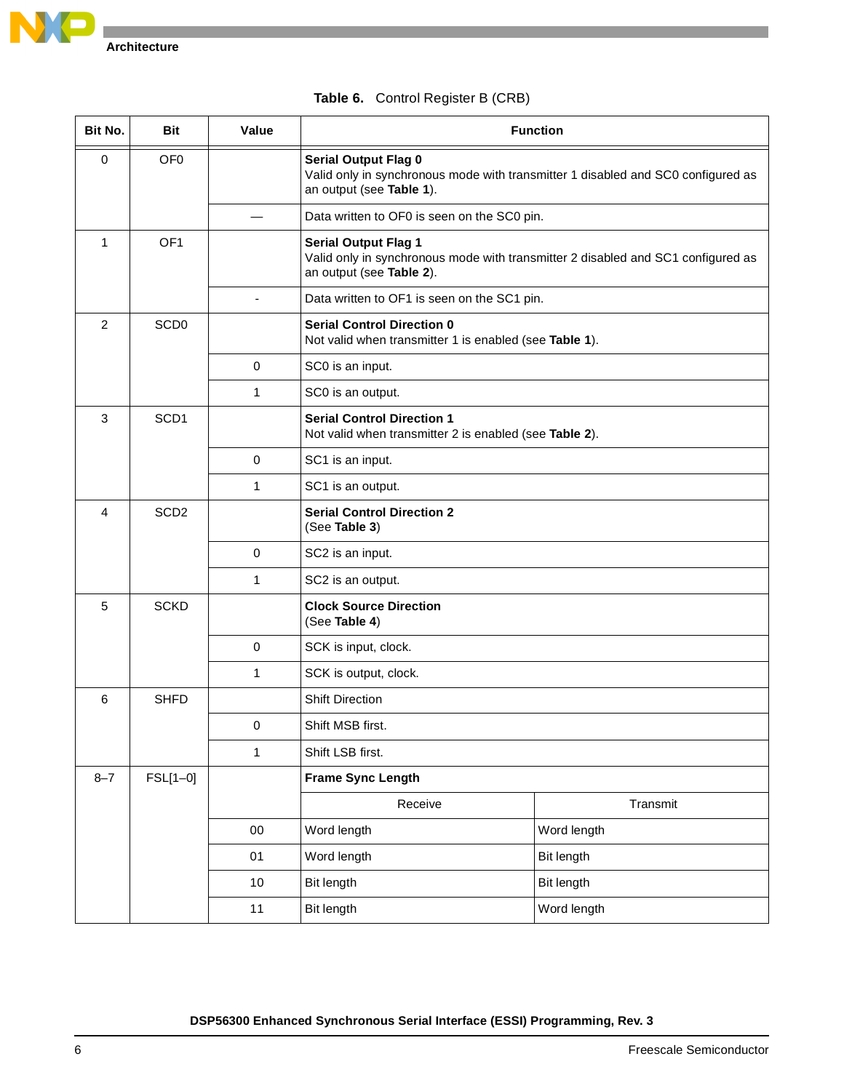

<span id="page-5-0"></span>

| Bit No.        | <b>Bit</b>       | Value        | <b>Function</b>                                                                                                                             |                                                                                  |
|----------------|------------------|--------------|---------------------------------------------------------------------------------------------------------------------------------------------|----------------------------------------------------------------------------------|
| $\mathbf 0$    | OF <sub>0</sub>  |              | <b>Serial Output Flag 0</b><br>Valid only in synchronous mode with transmitter 1 disabled and SC0 configured as<br>an output (see Table 1). |                                                                                  |
|                |                  |              | Data written to OF0 is seen on the SC0 pin.                                                                                                 |                                                                                  |
| 1              | OF <sub>1</sub>  |              | <b>Serial Output Flag 1</b><br>an output (see Table 2).                                                                                     | Valid only in synchronous mode with transmitter 2 disabled and SC1 configured as |
|                |                  |              | Data written to OF1 is seen on the SC1 pin.                                                                                                 |                                                                                  |
| $\overline{2}$ | SCD <sub>0</sub> |              | <b>Serial Control Direction 0</b><br>Not valid when transmitter 1 is enabled (see Table 1).                                                 |                                                                                  |
|                |                  | $\mathbf 0$  | SC0 is an input.                                                                                                                            |                                                                                  |
|                |                  | 1            | SC0 is an output.                                                                                                                           |                                                                                  |
| 3              | SCD <sub>1</sub> |              | <b>Serial Control Direction 1</b><br>Not valid when transmitter 2 is enabled (see Table 2).                                                 |                                                                                  |
|                |                  | $\mathbf 0$  | SC1 is an input.                                                                                                                            |                                                                                  |
|                |                  | 1            | SC1 is an output.                                                                                                                           |                                                                                  |
| 4              | SCD <sub>2</sub> |              | <b>Serial Control Direction 2</b><br>(See Table 3)                                                                                          |                                                                                  |
|                |                  | $\mathbf 0$  | SC2 is an input.                                                                                                                            |                                                                                  |
|                |                  | 1            | SC2 is an output.                                                                                                                           |                                                                                  |
| 5              | <b>SCKD</b>      |              | <b>Clock Source Direction</b><br>(See Table 4)                                                                                              |                                                                                  |
|                |                  | $\mathbf 0$  | SCK is input, clock.                                                                                                                        |                                                                                  |
|                |                  | 1            | SCK is output, clock.                                                                                                                       |                                                                                  |
| 6              | <b>SHFD</b>      |              | <b>Shift Direction</b>                                                                                                                      |                                                                                  |
|                |                  | $\pmb{0}$    | Shift MSB first.                                                                                                                            |                                                                                  |
|                |                  | $\mathbf{1}$ | Shift LSB first.                                                                                                                            |                                                                                  |
| $8 - 7$        | FSL[1-0]         |              | <b>Frame Sync Length</b>                                                                                                                    |                                                                                  |
|                |                  |              | Receive                                                                                                                                     | Transmit                                                                         |
|                |                  | $00\,$       | Word length                                                                                                                                 | Word length                                                                      |
|                |                  | 01           | Word length                                                                                                                                 | Bit length                                                                       |
|                |                  | 10           | <b>Bit length</b>                                                                                                                           | <b>Bit length</b>                                                                |
|                |                  | 11           | Bit length                                                                                                                                  | Word length                                                                      |

#### **Table 6.** Control Register B (CRB)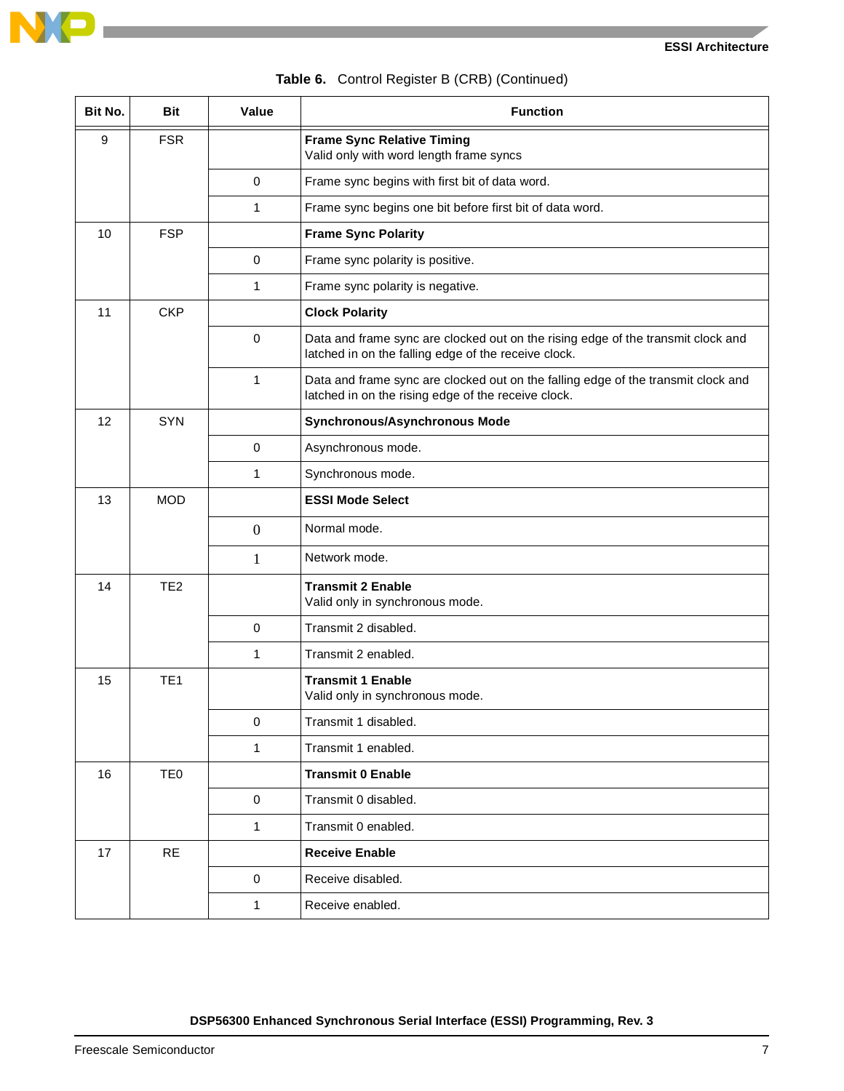

|  | Table 6. Control Register B (CRB) (Continued) |  |  |  |
|--|-----------------------------------------------|--|--|--|
|--|-----------------------------------------------|--|--|--|

| Bit No. | <b>Bit</b>      | Value        | <b>Function</b>                                                                                                                          |
|---------|-----------------|--------------|------------------------------------------------------------------------------------------------------------------------------------------|
| $9\,$   | <b>FSR</b>      |              | <b>Frame Sync Relative Timing</b><br>Valid only with word length frame syncs                                                             |
|         |                 | $\mathbf 0$  | Frame sync begins with first bit of data word.                                                                                           |
|         |                 | 1            | Frame sync begins one bit before first bit of data word.                                                                                 |
| 10      | <b>FSP</b>      |              | <b>Frame Sync Polarity</b>                                                                                                               |
|         |                 | $\mathbf 0$  | Frame sync polarity is positive.                                                                                                         |
|         |                 | 1            | Frame sync polarity is negative.                                                                                                         |
| 11      | <b>CKP</b>      |              | <b>Clock Polarity</b>                                                                                                                    |
|         |                 | $\mathbf 0$  | Data and frame sync are clocked out on the rising edge of the transmit clock and<br>latched in on the falling edge of the receive clock. |
|         |                 | $\mathbf{1}$ | Data and frame sync are clocked out on the falling edge of the transmit clock and<br>latched in on the rising edge of the receive clock. |
| 12      | <b>SYN</b>      |              | Synchronous/Asynchronous Mode                                                                                                            |
|         |                 | $\mathbf 0$  | Asynchronous mode.                                                                                                                       |
|         |                 | 1            | Synchronous mode.                                                                                                                        |
| 13      | <b>MOD</b>      |              | <b>ESSI Mode Select</b>                                                                                                                  |
|         |                 | $\mathbf{0}$ | Normal mode.                                                                                                                             |
|         |                 | 1            | Network mode.                                                                                                                            |
| 14      | TE <sub>2</sub> |              | <b>Transmit 2 Enable</b><br>Valid only in synchronous mode.                                                                              |
|         |                 | 0            | Transmit 2 disabled.                                                                                                                     |
|         |                 | 1            | Transmit 2 enabled.                                                                                                                      |
| 15      | TE <sub>1</sub> |              | <b>Transmit 1 Enable</b><br>Valid only in synchronous mode.                                                                              |
|         |                 | 0            | Transmit 1 disabled.                                                                                                                     |
|         |                 | 1            | Transmit 1 enabled.                                                                                                                      |
| 16      | TE <sub>0</sub> |              | <b>Transmit 0 Enable</b>                                                                                                                 |
|         |                 | $\mathbf 0$  | Transmit 0 disabled.                                                                                                                     |
|         |                 | 1            | Transmit 0 enabled.                                                                                                                      |
| 17      | <b>RE</b>       |              | <b>Receive Enable</b>                                                                                                                    |
|         |                 | $\mathbf 0$  | Receive disabled.                                                                                                                        |
|         |                 | 1            | Receive enabled.                                                                                                                         |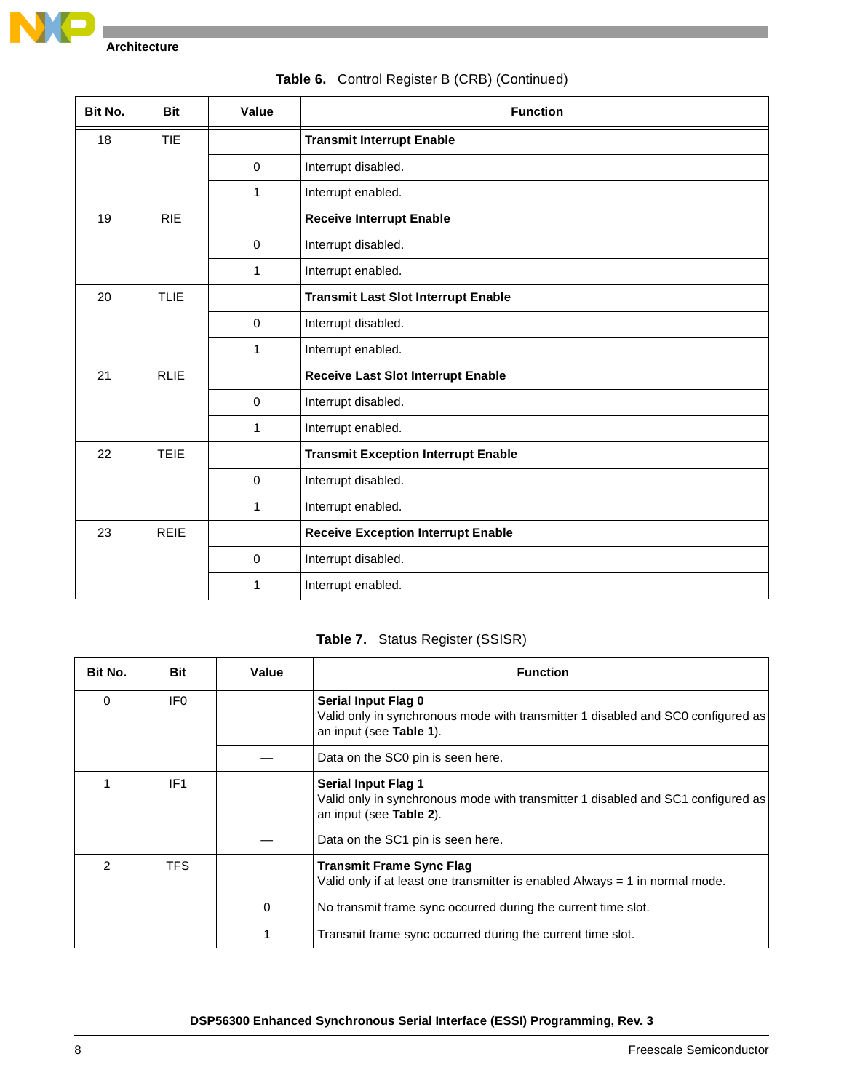

18 TIE **Transmit Interrupt Enable** 0 | Interrupt disabled. 1 | Interrupt enabled. 19 | RIE | **Receive Interrupt Enable** 0 | Interrupt disabled. 1 Interrupt enabled. 20 TLIE **Transmit Last Slot Interrupt Enable** 0 | Interrupt disabled. 1 Interrupt enabled. 21 | RLIE | **Receive Last Slot Interrupt Enable** 0 **Interrupt disabled.** 1 | Interrupt enabled. 22 TEIE **Transmit Exception Interrupt Enable** 0 | Interrupt disabled. 1 Interrupt enabled. 23 **REIE Receive Exception Interrupt Enable** 0 | Interrupt disabled. 1 | Interrupt enabled. **Bit No. Bit Value Function**

#### **Table 6.** Control Register B (CRB) (Continued)

#### **Table 7.** Status Register (SSISR)

<span id="page-7-0"></span>

| Bit No.       | Bit             | Value | <b>Function</b>                                                                                                                           |
|---------------|-----------------|-------|-------------------------------------------------------------------------------------------------------------------------------------------|
| $\Omega$      | IF <sub>0</sub> |       | Serial Input Flag 0<br>Valid only in synchronous mode with transmitter 1 disabled and SC0 configured as<br>an input (see Table 1).        |
|               |                 |       | Data on the SC0 pin is seen here.                                                                                                         |
|               | IF <sub>1</sub> |       | <b>Serial Input Flag 1</b><br>Valid only in synchronous mode with transmitter 1 disabled and SC1 configured as<br>an input (see Table 2). |
|               |                 |       | Data on the SC1 pin is seen here.                                                                                                         |
| $\mathcal{P}$ | <b>TFS</b>      |       | <b>Transmit Frame Sync Flag</b><br>Valid only if at least one transmitter is enabled Always $= 1$ in normal mode.                         |
|               |                 | 0     | No transmit frame sync occurred during the current time slot.                                                                             |
|               |                 | 1     | Transmit frame sync occurred during the current time slot.                                                                                |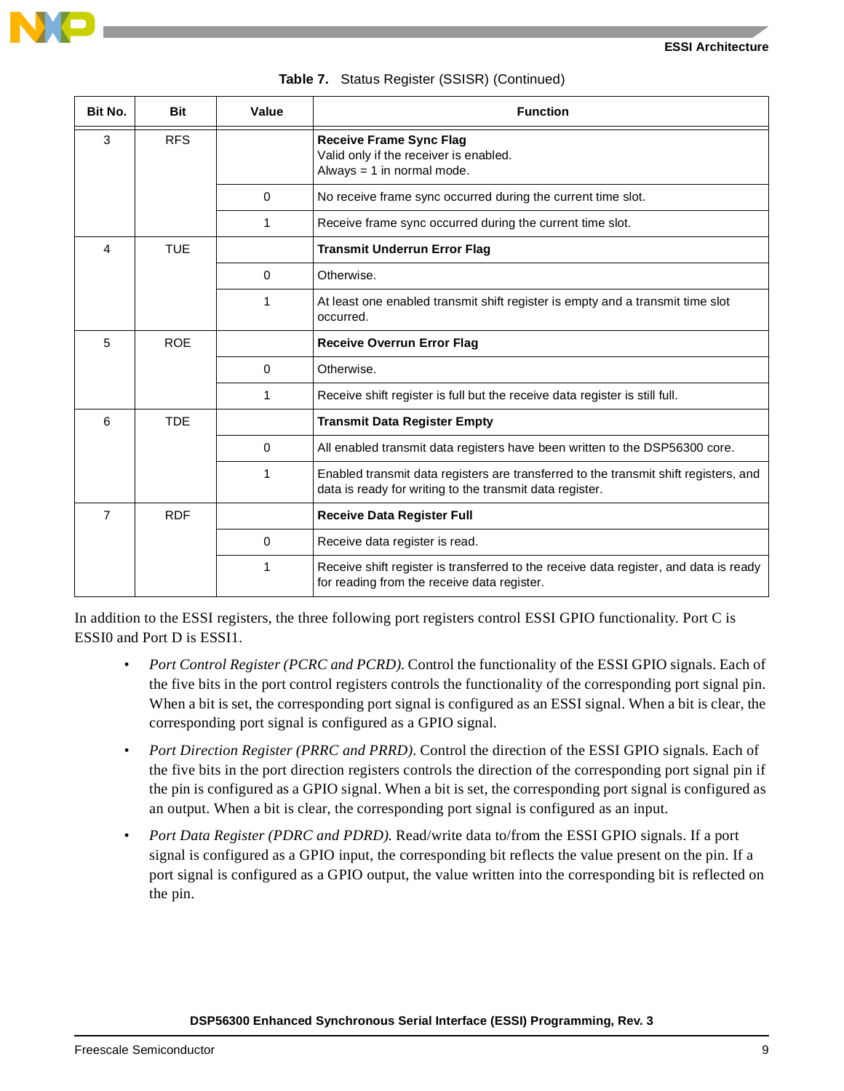

| Bit No.        | <b>Bit</b> | Value    | <b>Function</b>                                                                                                                                  |
|----------------|------------|----------|--------------------------------------------------------------------------------------------------------------------------------------------------|
| 3              | <b>RFS</b> |          | <b>Receive Frame Sync Flag</b><br>Valid only if the receiver is enabled.<br>Always $= 1$ in normal mode.                                         |
|                |            | $\Omega$ | No receive frame sync occurred during the current time slot.                                                                                     |
|                |            | 1        | Receive frame sync occurred during the current time slot.                                                                                        |
| 4              | <b>TUE</b> |          | <b>Transmit Underrun Error Flag</b>                                                                                                              |
|                |            | $\Omega$ | Otherwise.                                                                                                                                       |
|                |            | 1        | At least one enabled transmit shift register is empty and a transmit time slot<br>occurred.                                                      |
| 5              | <b>ROE</b> |          | <b>Receive Overrun Error Flag</b>                                                                                                                |
|                |            | $\Omega$ | Otherwise.                                                                                                                                       |
|                |            | 1        | Receive shift register is full but the receive data register is still full.                                                                      |
| 6              | <b>TDE</b> |          | <b>Transmit Data Register Empty</b>                                                                                                              |
|                |            | $\Omega$ | All enabled transmit data registers have been written to the DSP56300 core.                                                                      |
|                |            | 1        | Enabled transmit data registers are transferred to the transmit shift registers, and<br>data is ready for writing to the transmit data register. |
| $\overline{7}$ | <b>RDF</b> |          | <b>Receive Data Register Full</b>                                                                                                                |
|                |            | $\Omega$ | Receive data register is read.                                                                                                                   |
|                |            | 1        | Receive shift register is transferred to the receive data register, and data is ready<br>for reading from the receive data register.             |

**Table 7.** Status Register (SSISR) (Continued)

In addition to the ESSI registers, the three following port registers control ESSI GPIO functionality. Port C is ESSI0 and Port D is ESSI1.

- *Port Control Register (PCRC and PCRD)*. Control the functionality of the ESSI GPIO signals. Each of the five bits in the port control registers controls the functionality of the corresponding port signal pin. When a bit is set, the corresponding port signal is configured as an ESSI signal. When a bit is clear, the corresponding port signal is configured as a GPIO signal.
- *Port Direction Register (PRRC and PRRD)*. Control the direction of the ESSI GPIO signals. Each of the five bits in the port direction registers controls the direction of the corresponding port signal pin if the pin is configured as a GPIO signal. When a bit is set, the corresponding port signal is configured as an output. When a bit is clear, the corresponding port signal is configured as an input.
- *Port Data Register (PDRC and PDRD)*. Read/write data to/from the ESSI GPIO signals. If a port signal is configured as a GPIO input, the corresponding bit reflects the value present on the pin. If a port signal is configured as a GPIO output, the value written into the corresponding bit is reflected on the pin.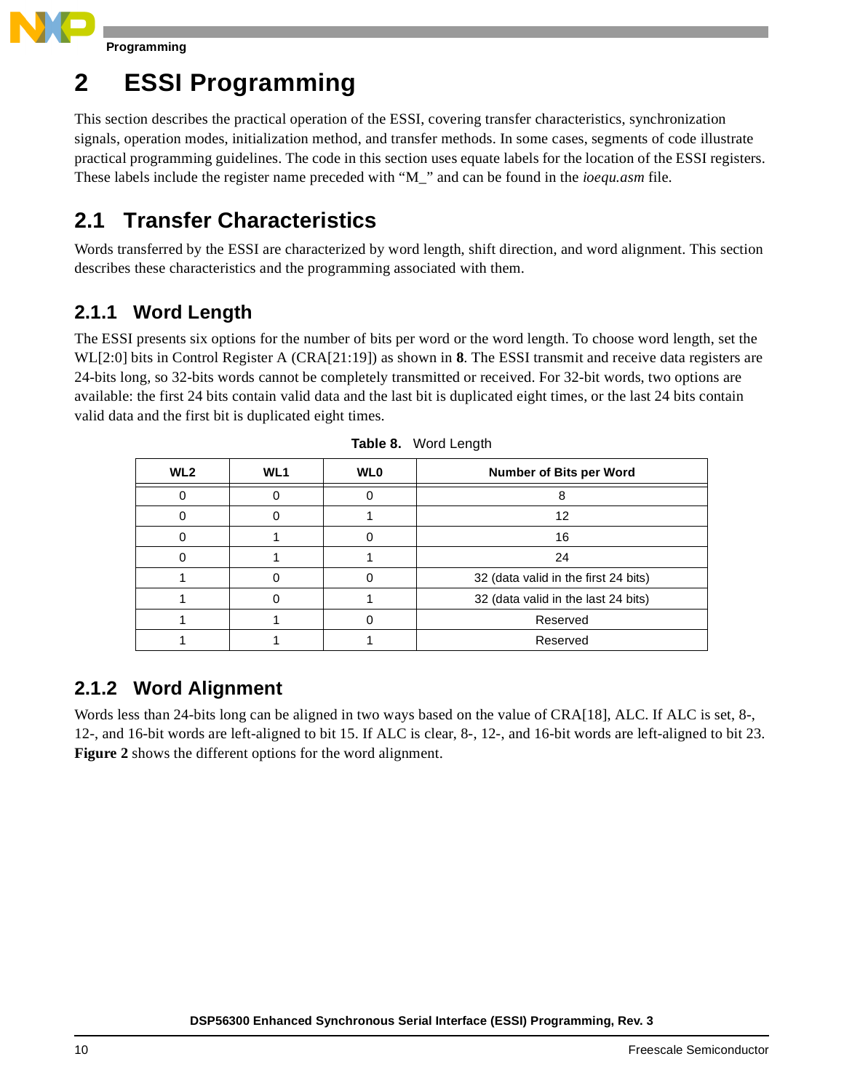

## **2 ESSI Programming**

This section describes the practical operation of the ESSI, covering transfer characteristics, synchronization signals, operation modes, initialization method, and transfer methods. In some cases, segments of code illustrate practical programming guidelines. The code in this section uses equate labels for the location of the ESSI registers. These labels include the register name preceded with "M\_" and can be found in the *ioequ.asm* file.

## **2.1 Transfer Characteristics**

Words transferred by the ESSI are characterized by word length, shift direction, and word alignment. This section describes these characteristics and the programming associated with them.

## **2.1.1 Word Length**

The ESSI presents six options for the number of bits per word or the word length. To choose word length, set the WL[2:0] bits in Control Register A (CRA[21:19]) as shown in **[8](#page-9-0)**. The ESSI transmit and receive data registers are 24-bits long, so 32-bits words cannot be completely transmitted or received. For 32-bit words, two options are available: the first 24 bits contain valid data and the last bit is duplicated eight times, or the last 24 bits contain valid data and the first bit is duplicated eight times.

<span id="page-9-0"></span>

| WL <sub>2</sub> | WL <sub>1</sub> | <b>WLO</b> | Number of Bits per Word              |
|-----------------|-----------------|------------|--------------------------------------|
|                 |                 |            |                                      |
|                 |                 |            | 12                                   |
|                 |                 |            | 16                                   |
|                 |                 |            | 24                                   |
|                 |                 |            | 32 (data valid in the first 24 bits) |
|                 |                 |            | 32 (data valid in the last 24 bits)  |
|                 |                 |            | Reserved                             |
|                 |                 |            | Reserved                             |

**Table 8.** Word Length

## **2.1.2 Word Alignment**

Words less than 24-bits long can be aligned in two ways based on the value of CRA[18], ALC. If ALC is set, 8-, 12-, and 16-bit words are left-aligned to bit 15. If ALC is clear, 8-, 12-, and 16-bit words are left-aligned to bit 23. **[Figure](#page-10-0) 2** shows the different options for the word alignment.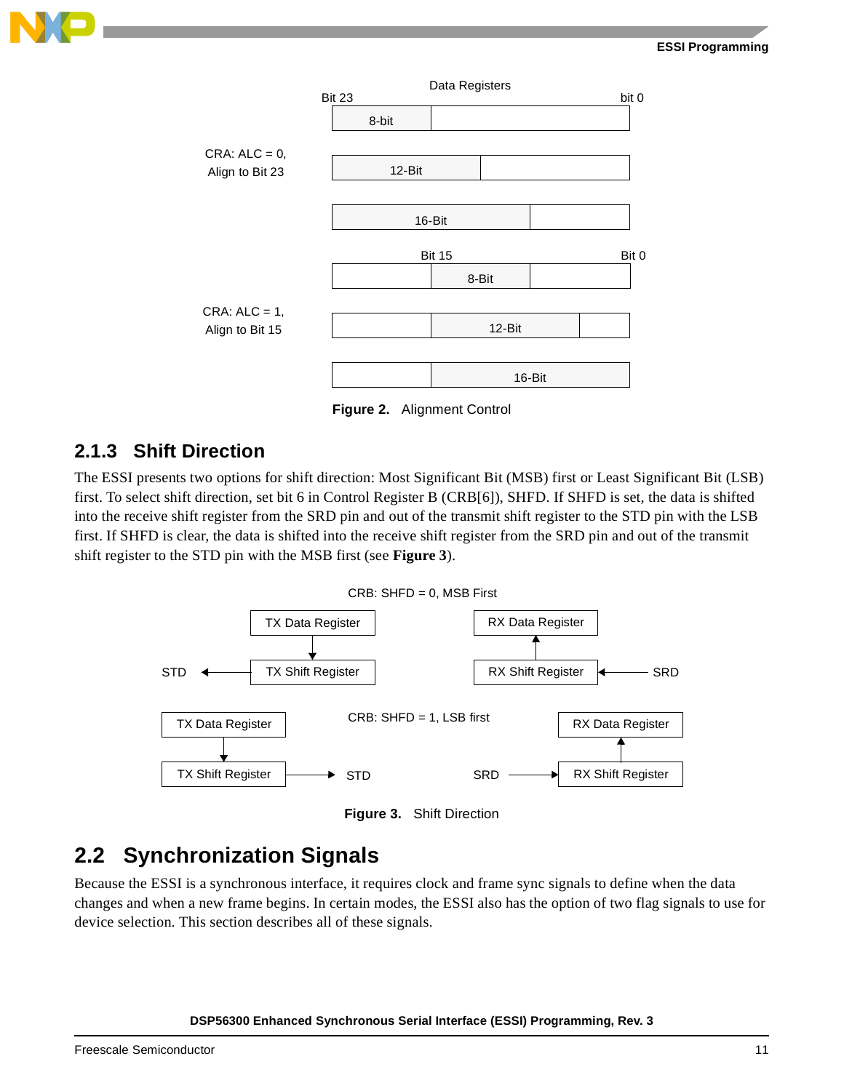#### **ESSI Programming**





**Figure 2.** Alignment Control

#### <span id="page-10-0"></span>**2.1.3 Shift Direction**

The ESSI presents two options for shift direction: Most Significant Bit (MSB) first or Least Significant Bit (LSB) first. To select shift direction, set bit 6 in Control Register B (CRB[6]), SHFD. If SHFD is set, the data is shifted into the receive shift register from the SRD pin and out of the transmit shift register to the STD pin with the LSB first. If SHFD is clear, the data is shifted into the receive shift register from the SRD pin and out of the transmit shift register to the STD pin with the MSB first (see **[Figure](#page-10-1) 3**).



**Figure 3.** Shift Direction

## <span id="page-10-1"></span>**2.2 Synchronization Signals**

Because the ESSI is a synchronous interface, it requires clock and frame sync signals to define when the data changes and when a new frame begins. In certain modes, the ESSI also has the option of two flag signals to use for device selection. This section describes all of these signals.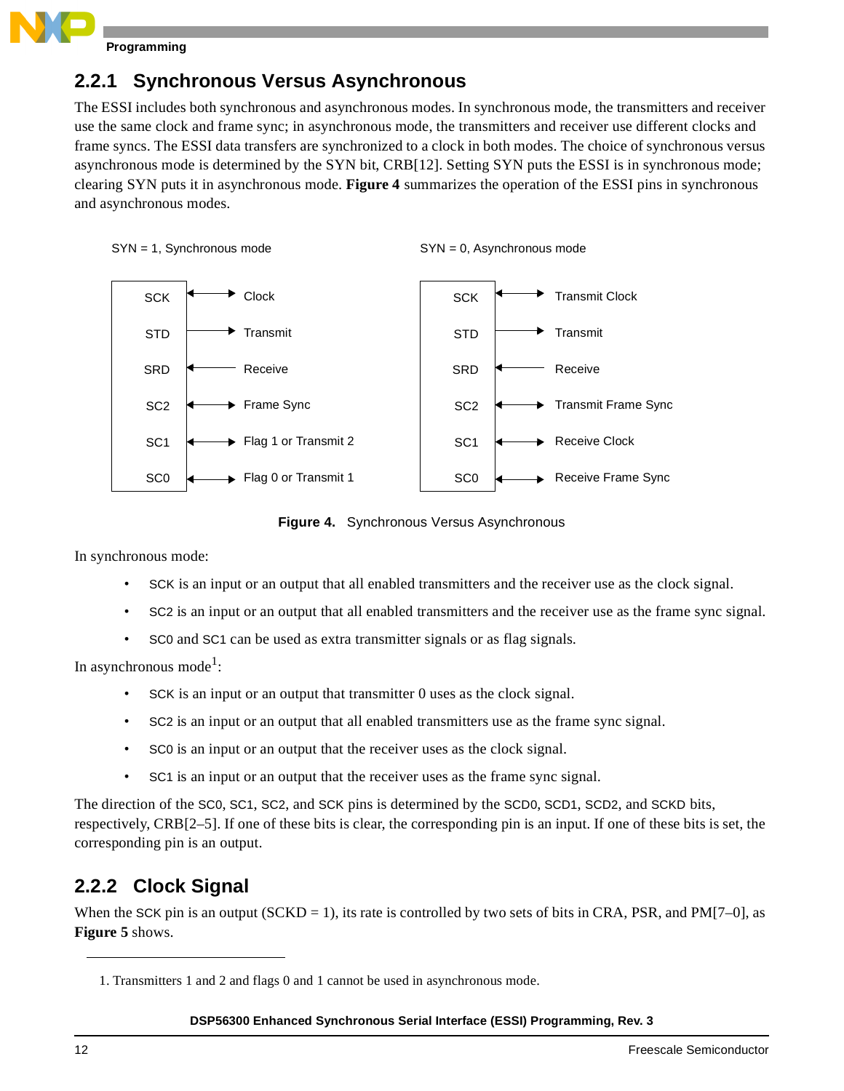

### **2.2.1 Synchronous Versus Asynchronous**

The ESSI includes both synchronous and asynchronous modes. In synchronous mode, the transmitters and receiver use the same clock and frame sync; in asynchronous mode, the transmitters and receiver use different clocks and frame syncs. The ESSI data transfers are synchronized to a clock in both modes. The choice of synchronous versus asynchronous mode is determined by the SYN bit, CRB[12]. Setting SYN puts the ESSI is in synchronous mode; clearing SYN puts it in asynchronous mode. **[Figure 4](#page-11-0)** summarizes the operation of the ESSI pins in synchronous and asynchronous modes.



```
SYN = 0, Asynchronous mode
```


**Figure 4.** Synchronous Versus Asynchronous

<span id="page-11-0"></span>In synchronous mode:

- SCK is an input or an output that all enabled transmitters and the receiver use as the clock signal.
- SC2 is an input or an output that all enabled transmitters and the receiver use as the frame sync signal.
- SC0 and SC1 can be used as extra transmitter signals or as flag signals.

In asynchronous mode<sup>1</sup>:

- SCK is an input or an output that transmitter 0 uses as the clock signal.
- SC2 is an input or an output that all enabled transmitters use as the frame sync signal.
- SC0 is an input or an output that the receiver uses as the clock signal.
- SC1 is an input or an output that the receiver uses as the frame sync signal.

The direction of the SC0, SC1, SC2, and SCK pins is determined by the SCD0, SCD1, SCD2, and SCKD bits, respectively, CRB[2–5]. If one of these bits is clear, the corresponding pin is an input. If one of these bits is set, the corresponding pin is an output.

## **2.2.2 Clock Signal**

When the SCK pin is an output  $(SCKD = 1)$ , its rate is controlled by two sets of bits in CRA, PSR, and PM[7–0], as **[Figure](#page-12-0) 5** shows.

<sup>1.</sup> Transmitters 1 and 2 and flags 0 and 1 cannot be used in asynchronous mode.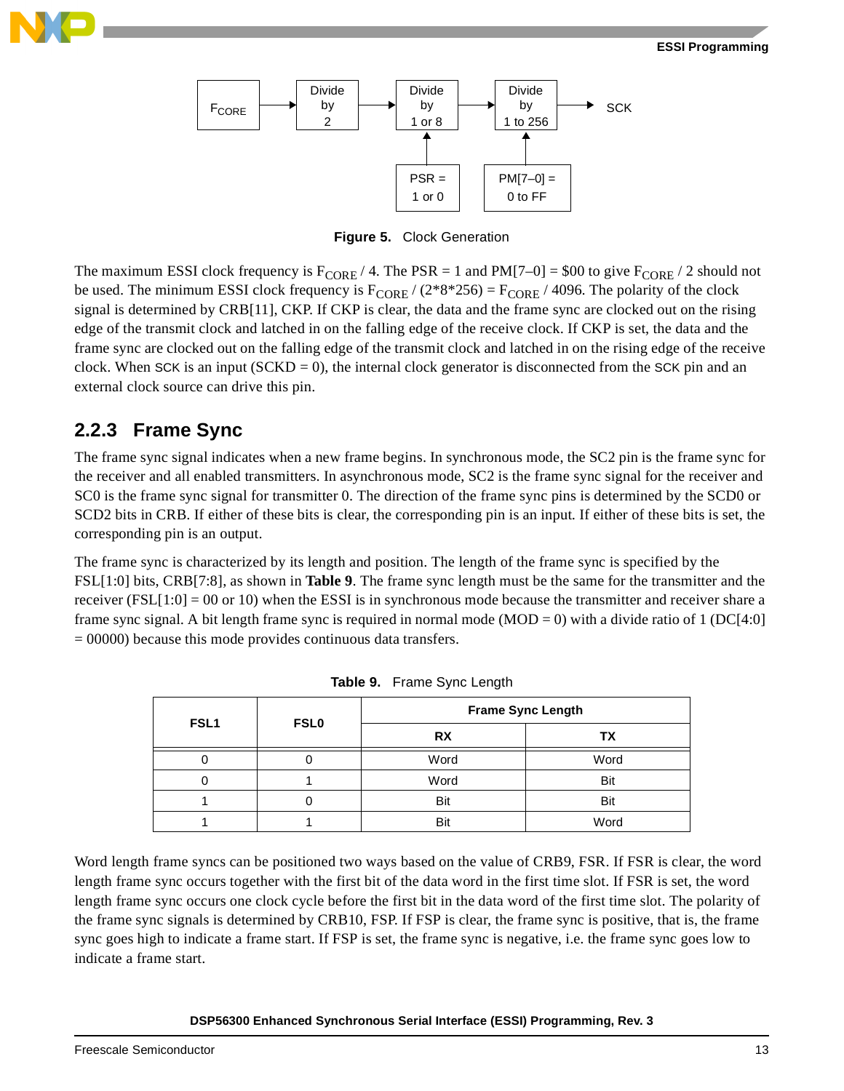



**Figure 5.** Clock Generation

<span id="page-12-0"></span>The maximum ESSI clock frequency is  $F_{\text{CORE}}/4$ . The PSR = 1 and PM[7–0] = \$00 to give  $F_{\text{CORE}}/2$  should not be used. The minimum ESSI clock frequency is  $F_{CORE}$  / (2\*8\*256) =  $F_{CORE}$  / 4096. The polarity of the clock signal is determined by CRB[11], CKP. If CKP is clear, the data and the frame sync are clocked out on the rising edge of the transmit clock and latched in on the falling edge of the receive clock. If CKP is set, the data and the frame sync are clocked out on the falling edge of the transmit clock and latched in on the rising edge of the receive clock. When SCK is an input  $(SCKD = 0)$ , the internal clock generator is disconnected from the SCK pin and an external clock source can drive this pin.

#### **2.2.3 Frame Sync**

The frame sync signal indicates when a new frame begins. In synchronous mode, the SC2 pin is the frame sync for the receiver and all enabled transmitters. In asynchronous mode, SC2 is the frame sync signal for the receiver and SC0 is the frame sync signal for transmitter 0. The direction of the frame sync pins is determined by the SCD0 or SCD2 bits in CRB. If either of these bits is clear, the corresponding pin is an input. If either of these bits is set, the corresponding pin is an output.

The frame sync is characterized by its length and position. The length of the frame sync is specified by the FSL[1:0] bits, CRB[7:8], as shown in **[Table 9](#page-12-1)**. The frame sync length must be the same for the transmitter and the receiver  $(FSL[1:0] = 00$  or 10) when the ESSI is in synchronous mode because the transmitter and receiver share a frame sync signal. A bit length frame sync is required in normal mode  $(MOD = 0)$  with a divide ratio of 1 (DC[4:0]  $= 00000$ ) because this mode provides continuous data transfers.

<span id="page-12-1"></span>

| FSL1 | <b>FSL0</b> | <b>Frame Sync Length</b><br><b>RX</b><br>Word<br>Word<br>Bit<br>Bit | ΤХ   |
|------|-------------|---------------------------------------------------------------------|------|
|      |             |                                                                     | Word |
|      |             |                                                                     | Bit  |
|      |             |                                                                     | Bit  |
|      |             |                                                                     | Word |

**Table 9.** Frame Sync Length

Word length frame syncs can be positioned two ways based on the value of CRB9, FSR. If FSR is clear, the word length frame sync occurs together with the first bit of the data word in the first time slot. If FSR is set, the word length frame sync occurs one clock cycle before the first bit in the data word of the first time slot. The polarity of the frame sync signals is determined by CRB10, FSP. If FSP is clear, the frame sync is positive, that is, the frame sync goes high to indicate a frame start. If FSP is set, the frame sync is negative, i.e. the frame sync goes low to indicate a frame start.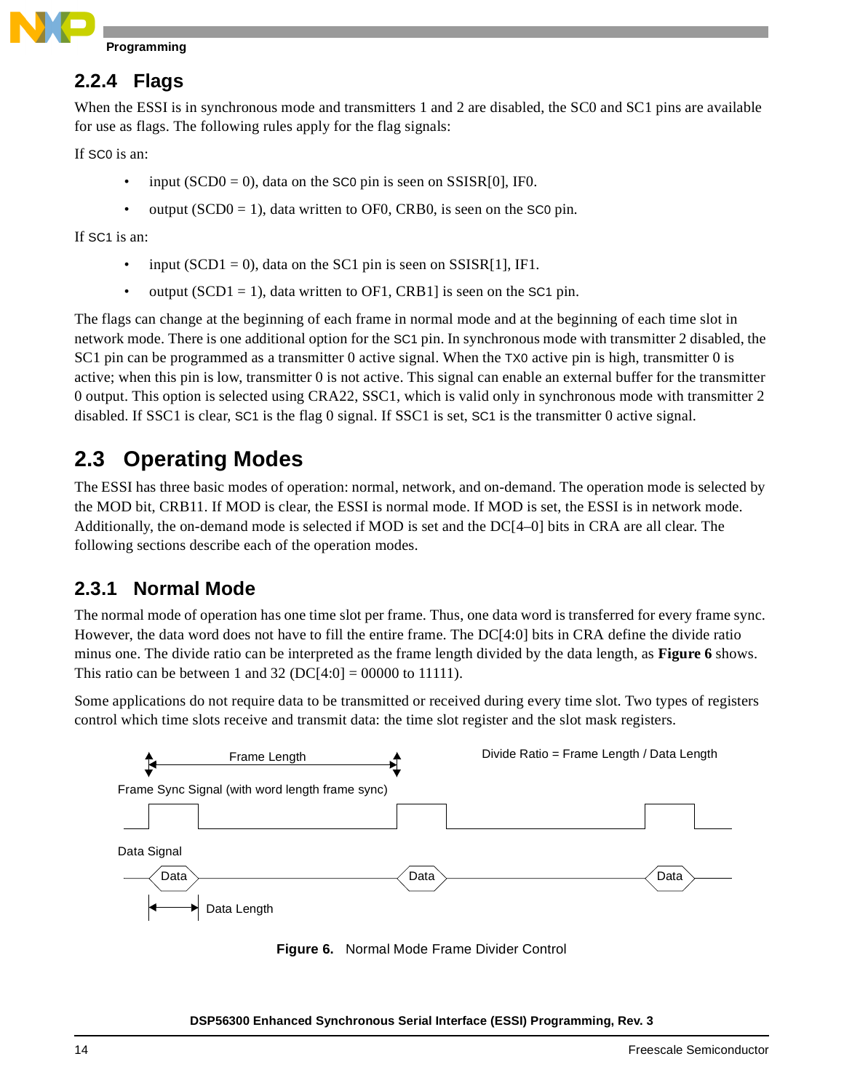

### **2.2.4 Flags**

When the ESSI is in synchronous mode and transmitters 1 and 2 are disabled, the SC0 and SC1 pins are available for use as flags. The following rules apply for the flag signals:

If SC0 is an:

- input  $(SCD0 = 0)$ , data on the SC0 pin is seen on SSISR[0], IF0.
- output ( $SCD0 = 1$ ), data written to OF0, CRB0, is seen on the SC0 pin.

If SC1 is an:

- input  $(SCD1 = 0)$ , data on the SC1 pin is seen on SSISR[1], IF1.
- output  $(SCD1 = 1)$ , data written to OF1, CRB1] is seen on the SC1 pin.

The flags can change at the beginning of each frame in normal mode and at the beginning of each time slot in network mode. There is one additional option for the SC1 pin. In synchronous mode with transmitter 2 disabled, the SC1 pin can be programmed as a transmitter 0 active signal. When the TX0 active pin is high, transmitter 0 is active; when this pin is low, transmitter 0 is not active. This signal can enable an external buffer for the transmitter 0 output. This option is selected using CRA22, SSC1, which is valid only in synchronous mode with transmitter 2 disabled. If SSC1 is clear, SC1 is the flag 0 signal. If SSC1 is set, SC1 is the transmitter 0 active signal.

## **2.3 Operating Modes**

The ESSI has three basic modes of operation: normal, network, and on-demand. The operation mode is selected by the MOD bit, CRB11. If MOD is clear, the ESSI is normal mode. If MOD is set, the ESSI is in network mode. Additionally, the on-demand mode is selected if MOD is set and the DC[4–0] bits in CRA are all clear. The following sections describe each of the operation modes.

## **2.3.1 Normal Mode**

The normal mode of operation has one time slot per frame. Thus, one data word is transferred for every frame sync. However, the data word does not have to fill the entire frame. The DC[4:0] bits in CRA define the divide ratio minus one. The divide ratio can be interpreted as the frame length divided by the data length, as **[Figure](#page-13-0) 6** shows. This ratio can be between 1 and 32 (DC[4:0] = 00000 to 11111).

Some applications do not require data to be transmitted or received during every time slot. Two types of registers control which time slots receive and transmit data: the time slot register and the slot mask registers.



<span id="page-13-0"></span>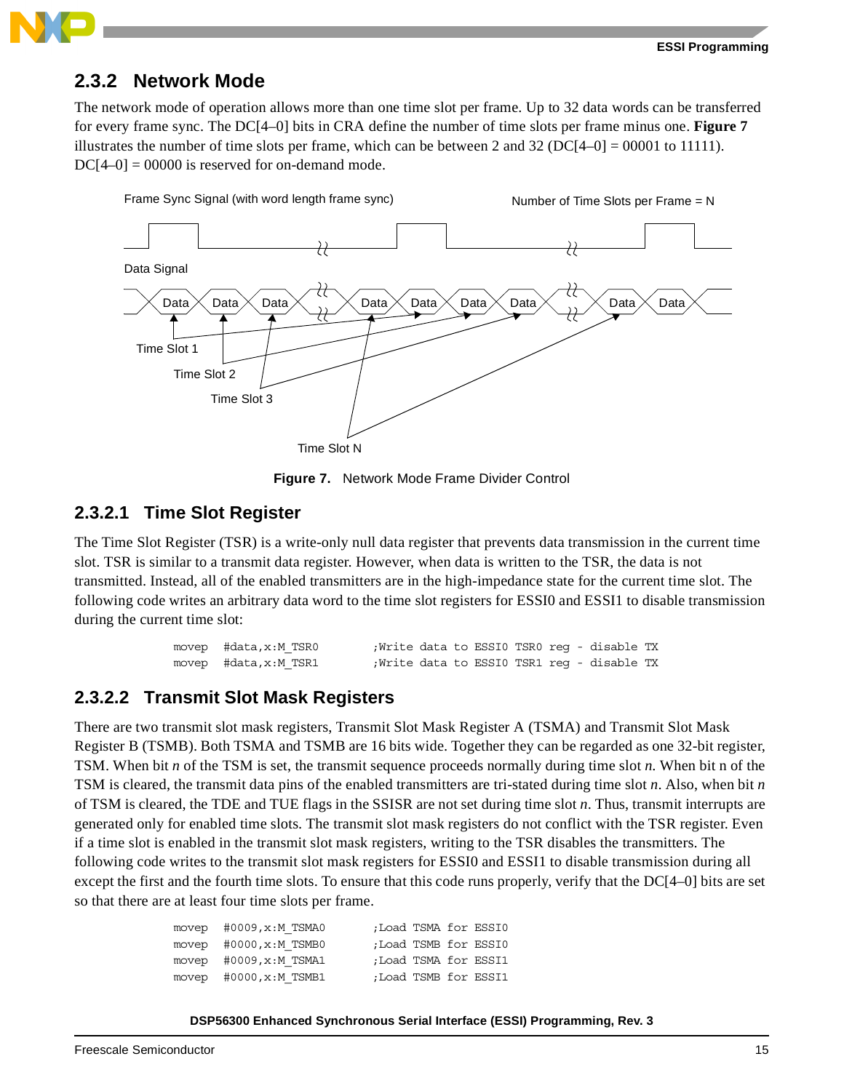

## **2.3.2 Network Mode**

The network mode of operation allows more than one time slot per frame. Up to 32 data words can be transferred for every frame sync. The DC[4–0] bits in CRA define the number of time slots per frame minus one. **[Figure](#page-14-0) 7** illustrates the number of time slots per frame, which can be between 2 and 32 (DC[4–0] = 00001 to 11111).  $DC[4-0] = 00000$  is reserved for on-demand mode.



**Figure 7.** Network Mode Frame Divider Control

#### <span id="page-14-0"></span>**2.3.2.1 Time Slot Register**

The Time Slot Register (TSR) is a write-only null data register that prevents data transmission in the current time slot. TSR is similar to a transmit data register. However, when data is written to the TSR, the data is not transmitted. Instead, all of the enabled transmitters are in the high-impedance state for the current time slot. The following code writes an arbitrary data word to the time slot registers for ESSI0 and ESSI1 to disable transmission during the current time slot:

```
movep #data,x:M_TSR0 ;Write data to ESSI0 TSR0 reg - disable TX
movep #data,x:M_TSR1 ;Write data to ESSI0 TSR1 reg - disable TX
```
#### **2.3.2.2 Transmit Slot Mask Registers**

There are two transmit slot mask registers, Transmit Slot Mask Register A (TSMA) and Transmit Slot Mask Register B (TSMB). Both TSMA and TSMB are 16 bits wide. Together they can be regarded as one 32-bit register, TSM. When bit *n* of the TSM is set, the transmit sequence proceeds normally during time slot *n*. When bit n of the TSM is cleared, the transmit data pins of the enabled transmitters are tri-stated during time slot *n*. Also, when bit *n* of TSM is cleared, the TDE and TUE flags in the SSISR are not set during time slot *n*. Thus, transmit interrupts are generated only for enabled time slots. The transmit slot mask registers do not conflict with the TSR register. Even if a time slot is enabled in the transmit slot mask registers, writing to the TSR disables the transmitters. The following code writes to the transmit slot mask registers for ESSI0 and ESSI1 to disable transmission during all except the first and the fourth time slots. To ensure that this code runs properly, verify that the DC[4–0] bits are set so that there are at least four time slots per frame.

| movep $#0009$ , $x$ : M TSMA0 | ;Load TSMA for ESSI0 |  |  |
|-------------------------------|----------------------|--|--|
| movep $#0000, x : M$ TSMB0    | ;Load TSMB for ESSI0 |  |  |
| movep $#0009$ , $x:M$ TSMA1   | ;Load TSMA for ESSI1 |  |  |
| movep $#0000, x:M$ TSMB1      | ;Load TSMB for ESSI1 |  |  |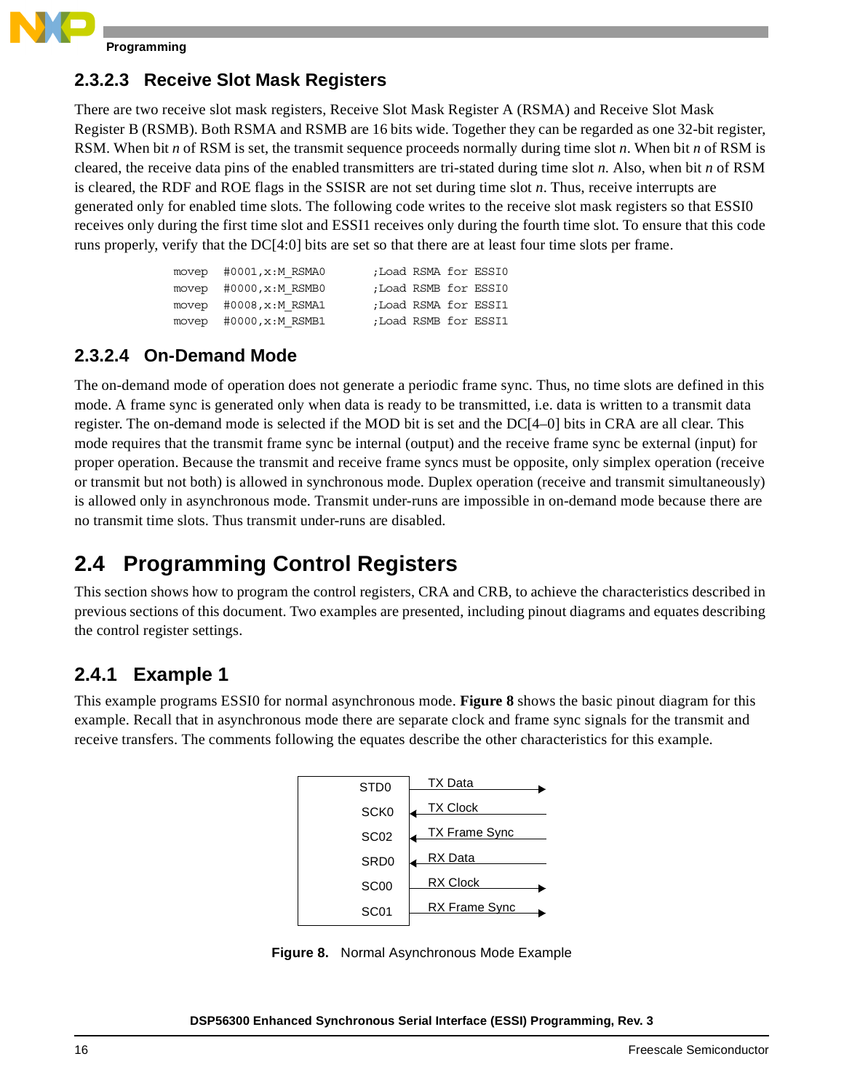

#### **2.3.2.3 Receive Slot Mask Registers**

There are two receive slot mask registers, Receive Slot Mask Register A (RSMA) and Receive Slot Mask Register B (RSMB). Both RSMA and RSMB are 16 bits wide. Together they can be regarded as one 32-bit register, RSM. When bit *n* of RSM is set, the transmit sequence proceeds normally during time slot *n*. When bit *n* of RSM is cleared, the receive data pins of the enabled transmitters are tri-stated during time slot *n*. Also, when bit *n* of RSM is cleared, the RDF and ROE flags in the SSISR are not set during time slot *n*. Thus, receive interrupts are generated only for enabled time slots. The following code writes to the receive slot mask registers so that ESSI0 receives only during the first time slot and ESSI1 receives only during the fourth time slot. To ensure that this code runs properly, verify that the DC[4:0] bits are set so that there are at least four time slots per frame.

| movep #0001, x:M RSMA0     | ;Load RSMA for ESSI0 |  |  |
|----------------------------|----------------------|--|--|
| movep $#0000, x : M$ RSMB0 | ;Load RSMB for ESSI0 |  |  |
| movep $#0008, x : M$ RSMA1 | ;Load RSMA for ESSI1 |  |  |
| movep $#0000, x : M$ RSMB1 | ;Load RSMB for ESSI1 |  |  |

#### **2.3.2.4 On-Demand Mode**

The on-demand mode of operation does not generate a periodic frame sync. Thus, no time slots are defined in this mode. A frame sync is generated only when data is ready to be transmitted, i.e. data is written to a transmit data register. The on-demand mode is selected if the MOD bit is set and the DC[4–0] bits in CRA are all clear. This mode requires that the transmit frame sync be internal (output) and the receive frame sync be external (input) for proper operation. Because the transmit and receive frame syncs must be opposite, only simplex operation (receive or transmit but not both) is allowed in synchronous mode. Duplex operation (receive and transmit simultaneously) is allowed only in asynchronous mode. Transmit under-runs are impossible in on-demand mode because there are no transmit time slots. Thus transmit under-runs are disabled.

## **2.4 Programming Control Registers**

This section shows how to program the control registers, CRA and CRB, to achieve the characteristics described in previous sections of this document. Two examples are presented, including pinout diagrams and equates describing the control register settings.

## **2.4.1 Example 1**

This example programs ESSI0 for normal asynchronous mode. **[Figure](#page-15-0) 8** shows the basic pinout diagram for this example. Recall that in asynchronous mode there are separate clock and frame sync signals for the transmit and receive transfers. The comments following the equates describe the other characteristics for this example.



<span id="page-15-0"></span>**Figure 8.** Normal Asynchronous Mode Example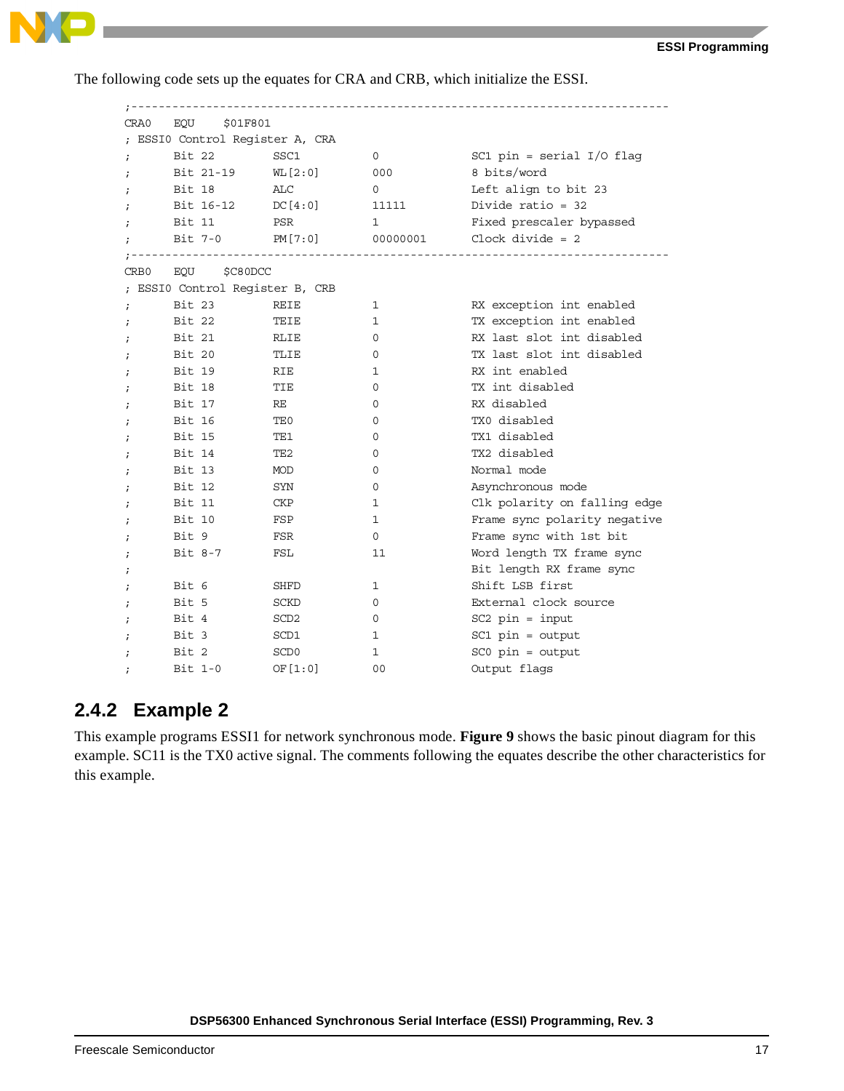

The following code sets up the equates for CRA and CRB, which initialize the ESSI.

| CRA0             | EOU<br>\$01F801                 |                  |                |                              |
|------------------|---------------------------------|------------------|----------------|------------------------------|
|                  | ; ESSI0 Control Register A, CRA |                  |                |                              |
| $\ddot{i}$       | Bit 22                          | SSC1             | 0              | SC1 pin = serial $I/O$ flag  |
| $\ddot{i}$       | Bit 21-19                       | WL[2:0]          | 000            | 8 bits/word                  |
|                  | Bit 18                          | ALC              | 0              | Left align to bit 23         |
|                  | Bit $16-12$ DC $[4:0]$          |                  | 11111          | Divide ratio = $32$          |
|                  | Bit 11                          | PSR              | 1              | Fixed prescaler bypassed     |
| $\ddot{i}$       | Bit 7-0                         | PM[7:0]          | 00000001       | Clock divide $= 2$           |
|                  |                                 |                  |                |                              |
| CRB <sub>0</sub> | EOU<br>\$C80DCC                 |                  |                |                              |
|                  | ; ESSI0 Control Register B, CRB |                  |                |                              |
| $\ddot{i}$       | Bit 23                          | REIE             | 1              | RX exception int enabled     |
| $\ddot{i}$       | Bit 22                          | TEIE             | $\mathbf{1}$   | TX exception int enabled     |
| $\ddot{ }$       | Bit 21                          | RLIE             | 0              | RX last slot int disabled    |
|                  | Bit 20                          | TLIE             | 0              | TX last slot int disabled    |
|                  | Bit 19                          | RIE              | 1              | RX int enabled               |
|                  | Bit 18                          | TIE              | 0              | TX int disabled              |
| $\ddot{i}$       | Bit 17                          | RE               | 0              | RX disabled                  |
| $\ddot{ }$       | Bit 16                          | TE0              | $\Omega$       | TXO disabled                 |
|                  | Bit 15                          | TE1              | 0              | TX1 disabled                 |
|                  | Bit 14                          | TE <sub>2</sub>  | 0              | TX2 disabled                 |
|                  | Bit 13                          | MOD              | 0              | Normal mode                  |
| $\ddot{i}$       | Bit 12                          | SYN              | 0              | Asynchronous mode            |
|                  | Bit 11                          | CKP              | 1              | Clk polarity on falling edge |
|                  | Bit 10                          | FSP              | $\mathbf 1$    | Frame sync polarity negative |
|                  | Bit 9                           | FSR              | 0              | Frame sync with 1st bit      |
| $\ddot{i}$       | $Bit 8-7$                       | FSL              | 11             | Word length TX frame sync    |
| $\ddot{i}$       |                                 |                  |                | Bit length RX frame sync     |
| $\cdot$          | Bit 6                           | SHFD             | 1              | Shift LSB first              |
|                  | Bit 5                           | <b>SCKD</b>      | 0              | External clock source        |
|                  | Bit 4                           | SCD <sub>2</sub> | 0              | $SC2$ pin = input            |
|                  | Bit 3                           | SCD1             | 1              | $SC1$ pin = output           |
| $\ddot{ }$       | Bit 2                           | SCD <sub>0</sub> | 1              | $SC0$ $pin = output$         |
|                  | $Bit 1-0$                       | OF $[1:0]$       | 0 <sub>0</sub> | Output flags                 |

#### **2.4.2 Example 2**

This example programs ESSI1 for network synchronous mode. **[Figure](#page-17-0) 9** shows the basic pinout diagram for this example. SC11 is the TX0 active signal. The comments following the equates describe the other characteristics for this example.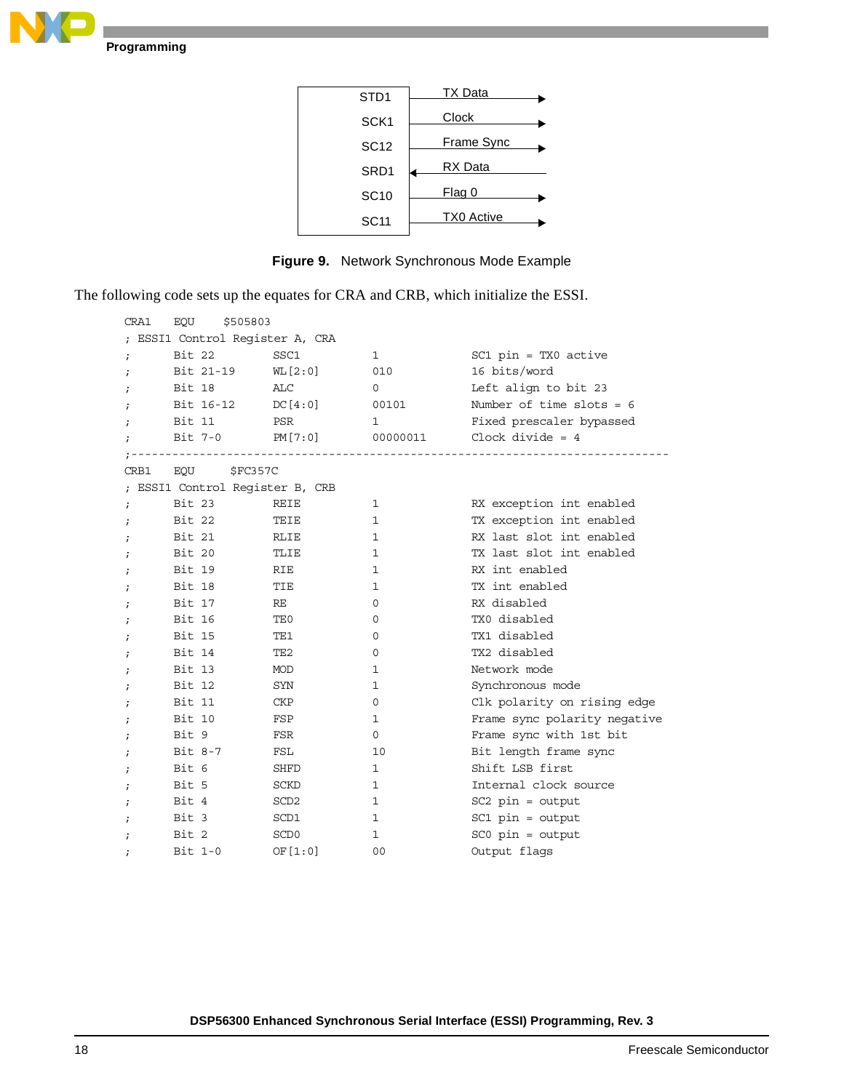





<span id="page-17-0"></span>The following code sets up the equates for CRA and CRB, which initialize the ESSI.

| CRA1       | EQU<br>\$505803                 |                  |              |                              |
|------------|---------------------------------|------------------|--------------|------------------------------|
|            | ; ESSI1 Control Register A, CRA |                  |              |                              |
| $\cdot$    | Bit 22                          | SSC1             | $\mathbf{1}$ | $SC1$ pin = TX0 active       |
|            | Bit 21-19                       | WL [2:0]         | 010          | 16 bits/word                 |
| i          | Bit 18                          | ALC              | 0            | Left align to bit 23         |
|            | Bit $16-12$ DC $[4:0]$          |                  | 00101        | Number of time slots = $6$   |
| $\ddot{i}$ | Bit 11                          | PSR              | $\mathbf{1}$ | Fixed prescaler bypassed     |
|            | Bit 7-0                         | PM [7:0]         | 00000011     | Clock divide $= 4$           |
|            |                                 |                  |              |                              |
| CRB1       | EOU \$FC357C                    |                  |              |                              |
|            | ; ESSI1 Control Register B, CRB |                  |              |                              |
| $\ddot{i}$ | Bit 23                          | REIE             | 1            | RX exception int enabled     |
| $\ddot{i}$ | Bit 22                          | TEIE             | 1            | TX exception int enabled     |
| $\ddot{i}$ | Bit 21                          | RLIE             | 1            | RX last slot int enabled     |
| $\cdot$    | Bit 20                          | TLIE             | 1            | TX last slot int enabled     |
| i          | Bit 19                          | <b>RIE</b>       | 1            | RX int enabled               |
| $\ddot{i}$ | Bit 18                          | TIE              | 1            | TX int enabled               |
| i          | Bit 17                          | RE               | 0            | RX disabled                  |
| $\ddot{i}$ | Bit 16                          | TE0              | 0            | TX0 disabled                 |
| $\cdot$    | Bit 15                          | TE1              | 0            | TX1 disabled                 |
| $\ddot{i}$ | Bit 14                          | TE2              | 0            | TX2 disabled                 |
| ï          | Bit 13                          | MOD              | 1            | Network mode                 |
| i          | Bit 12                          | SYN              | 1            | Synchronous mode             |
| i          | Bit 11                          | CKP              | 0            | Clk polarity on rising edge  |
| $\cdot$    | Bit 10                          | FSP              | 1            | Frame sync polarity negative |
| i          | Bit 9                           | FSR              | 0            | Frame sync with 1st bit      |
| i          | Bit 8-7                         | FSL              | 10           | Bit length frame sync        |
| $\ddot{i}$ | Bit 6                           | SHFD             | 1            | Shift LSB first              |
| $\ddot{i}$ | Bit 5                           | SCKD             | 1            | Internal clock source        |
| $\cdot$    | Bit 4                           | SCD <sub>2</sub> | 1            | $SC2$ $pin = output$         |
| ÷          | Bit 3                           | SCD1             | 1            | $SC1$ $pin = output$         |
| $\cdot$    | Bit 2                           | SCD <sub>0</sub> | 1            | $SC0$ $pin = output$         |
|            | $Bit 1-0$                       | OF $[1:0]$       | 00           | Output flags                 |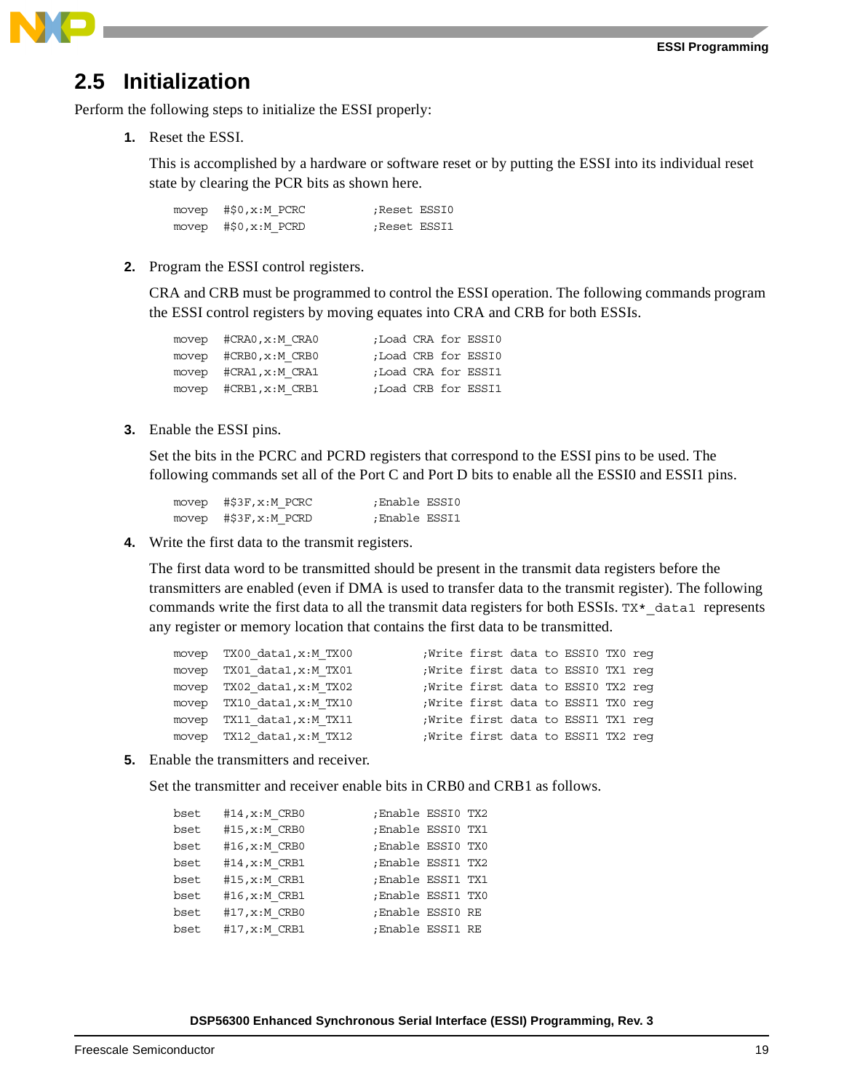

## <span id="page-18-0"></span>**2.5 Initialization**

Perform the following steps to initialize the ESSI properly:

**1.** Reset the ESSI.

This is accomplished by a hardware or software reset or by putting the ESSI into its individual reset state by clearing the PCR bits as shown here.

| movep $#50, x : M$ PCRC | Reset ESSI0: |
|-------------------------|--------------|
| movep $#50, x : M$ PCRD | Reset ESSI1; |

**2.** Program the ESSI control registers.

CRA and CRB must be programmed to control the ESSI operation. The following commands program the ESSI control registers by moving equates into CRA and CRB for both ESSIs.

| $move p$ $\#CRA0, x : M \, CRA0$ |  | ;Load CRA for ESSI0 |
|----------------------------------|--|---------------------|
| movep $\#CRB0, x : MCRB0$        |  | ;Load CRB for ESSI0 |
| movep $\#CRA1, x : M CRA1$       |  | ;Load CRA for ESSI1 |
| movep #CRB1, x:M CRB1            |  | ;Load CRB for ESSI1 |

**3.** Enable the ESSI pins.

Set the bits in the PCRC and PCRD registers that correspond to the ESSI pins to be used. The following commands set all of the Port C and Port D bits to enable all the ESSI0 and ESSI1 pins.

movep #\$3F, x:M PCRC ;Enable ESSI0 movep #\$3F, x:M PCRD ; Enable ESSI1

**4.** Write the first data to the transmit registers.

The first data word to be transmitted should be present in the transmit data registers before the transmitters are enabled (even if DMA is used to transfer data to the transmit register). The following commands write the first data to all the transmit data registers for both ESSIs.  $TX^*$  data1 represents any register or memory location that contains the first data to be transmitted.

|       | movep TX00 data1, x:M TX00 | Write first data to ESSI0 TX0 req  |  |  |  |
|-------|----------------------------|------------------------------------|--|--|--|
|       | movep TX01 data1, x:M TX01 | ;Write first data to ESSI0 TX1 reg |  |  |  |
|       | movep TX02 data1, x:M TX02 | Write first data to ESSIO TX2 req  |  |  |  |
|       | movep TX10 data1, x:M TX10 | ;Write first data to ESSI1 TX0 reg |  |  |  |
| movep | TX11 data1,x:M TX11        | Write first data to ESSI1 TX1 req  |  |  |  |
|       | movep TX12 data1, x:M TX12 | Write first data to ESSI1 TX2 req  |  |  |  |
|       |                            |                                    |  |  |  |

**5.** Enable the transmitters and receiver.

Set the transmitter and receiver enable bits in CRB0 and CRB1 as follows.

| bset | #14, x: M CRB0 | ;Enable ESSI0 TX2 |  |
|------|----------------|-------------------|--|
| bset | #15, x: M CRB0 | ;Enable ESSI0 TX1 |  |
| bset | #16, x: M CRB0 | ;Enable ESSI0 TX0 |  |
| bset | #14, x: M CRB1 | ;Enable ESSI1 TX2 |  |
| bset | #15, x: M CRB1 | ;Enable ESSI1 TX1 |  |
| bset | #16, x: M CRB1 | ;Enable ESSI1 TX0 |  |
| bset | #17, x: M CRB0 | ;Enable ESSIO RE  |  |
| bset | #17, x: M CRB1 | ;Enable ESSI1 RE  |  |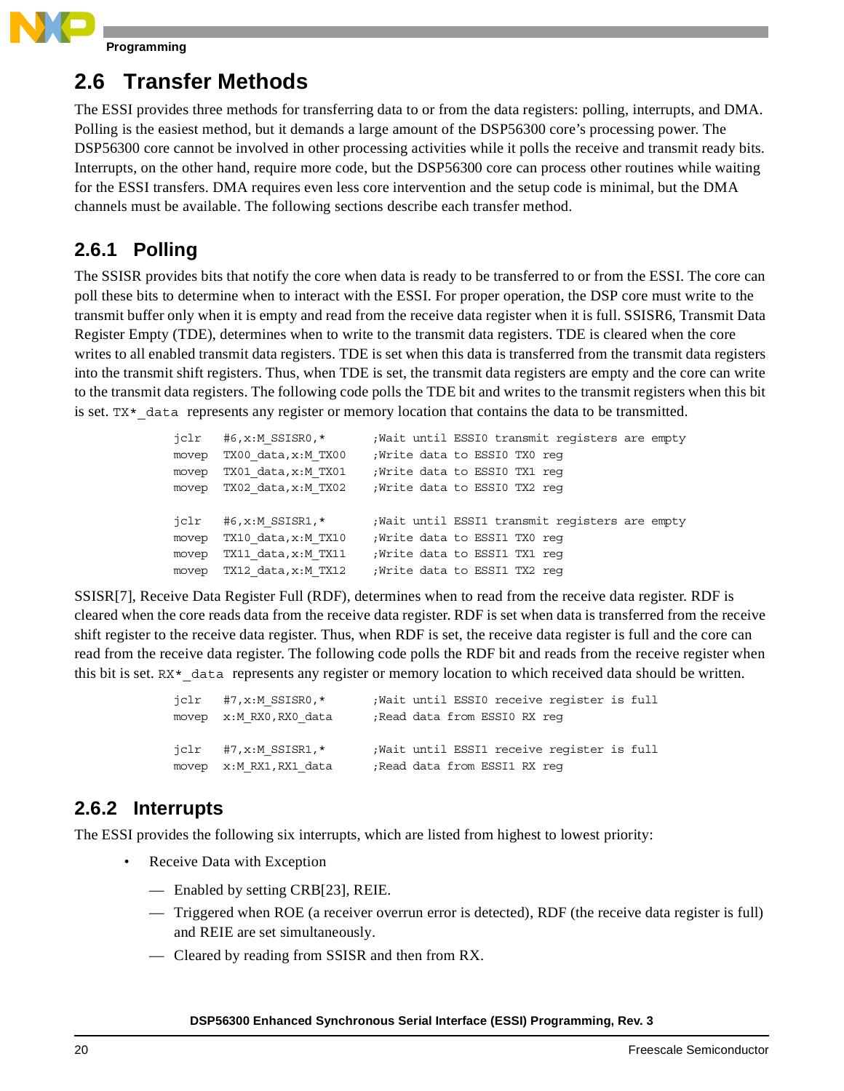

## **2.6 Transfer Methods**

The ESSI provides three methods for transferring data to or from the data registers: polling, interrupts, and DMA. Polling is the easiest method, but it demands a large amount of the DSP56300 core's processing power. The DSP56300 core cannot be involved in other processing activities while it polls the receive and transmit ready bits. Interrupts, on the other hand, require more code, but the DSP56300 core can process other routines while waiting for the ESSI transfers. DMA requires even less core intervention and the setup code is minimal, but the DMA channels must be available. The following sections describe each transfer method.

### **2.6.1 Polling**

The SSISR provides bits that notify the core when data is ready to be transferred to or from the ESSI. The core can poll these bits to determine when to interact with the ESSI. For proper operation, the DSP core must write to the transmit buffer only when it is empty and read from the receive data register when it is full. SSISR6, Transmit Data Register Empty (TDE), determines when to write to the transmit data registers. TDE is cleared when the core writes to all enabled transmit data registers. TDE is set when this data is transferred from the transmit data registers into the transmit shift registers. Thus, when TDE is set, the transmit data registers are empty and the core can write to the transmit data registers. The following code polls the TDE bit and writes to the transmit registers when this bit is set.  $TX*$  data represents any register or memory location that contains the data to be transmitted.

| jclr  | #6,x:M SSISRO,*           | Wait until ESSIO transmit registers are empty |
|-------|---------------------------|-----------------------------------------------|
| movep | TX00 data, x:M TX00       | ;Write data to ESSI0 TX0 reg                  |
| movep | TX01 data, x:M TX01       | Write data to ESSI0 TX1 req                   |
| movep | TX02 data, x:M TX02       | ; Write data to ESSI0 TX2 req                 |
|       |                           |                                               |
|       |                           |                                               |
|       | $iclr$ #6, x: M SSISR1, * | Wait until ESSI1 transmit registers are empty |
| movep | TX10 data, x:M TX10       | Write data to ESSI1 TX0 req                   |
| movep | TX11 data,x:M TX11        | Write data to ESSI1 TX1 req                   |

SSISR[7], Receive Data Register Full (RDF), determines when to read from the receive data register. RDF is cleared when the core reads data from the receive data register. RDF is set when data is transferred from the receive shift register to the receive data register. Thus, when RDF is set, the receive data register is full and the core can read from the receive data register. The following code polls the RDF bit and reads from the receive register when this bit is set. RX\* data represents any register or memory location to which received data should be written.

| $iclr$ #7, x: M SSISR0, * | Wait until ESSIO receive register is full   |
|---------------------------|---------------------------------------------|
| movep x: MRX0, RX0 data   | Read data from ESSI0 RX req                 |
|                           |                                             |
| $iclr$ #7, x: M SSISR1, * | ; Wait until ESSI1 receive register is full |
| movep x: M_RX1, RX1 data  | Read data from ESSI1 RX req;                |

#### **2.6.2 Interrupts**

The ESSI provides the following six interrupts, which are listed from highest to lowest priority:

- Receive Data with Exception
	- Enabled by setting CRB[23], REIE.
	- Triggered when ROE (a receiver overrun error is detected), RDF (the receive data register is full) and REIE are set simultaneously.
	- Cleared by reading from SSISR and then from RX.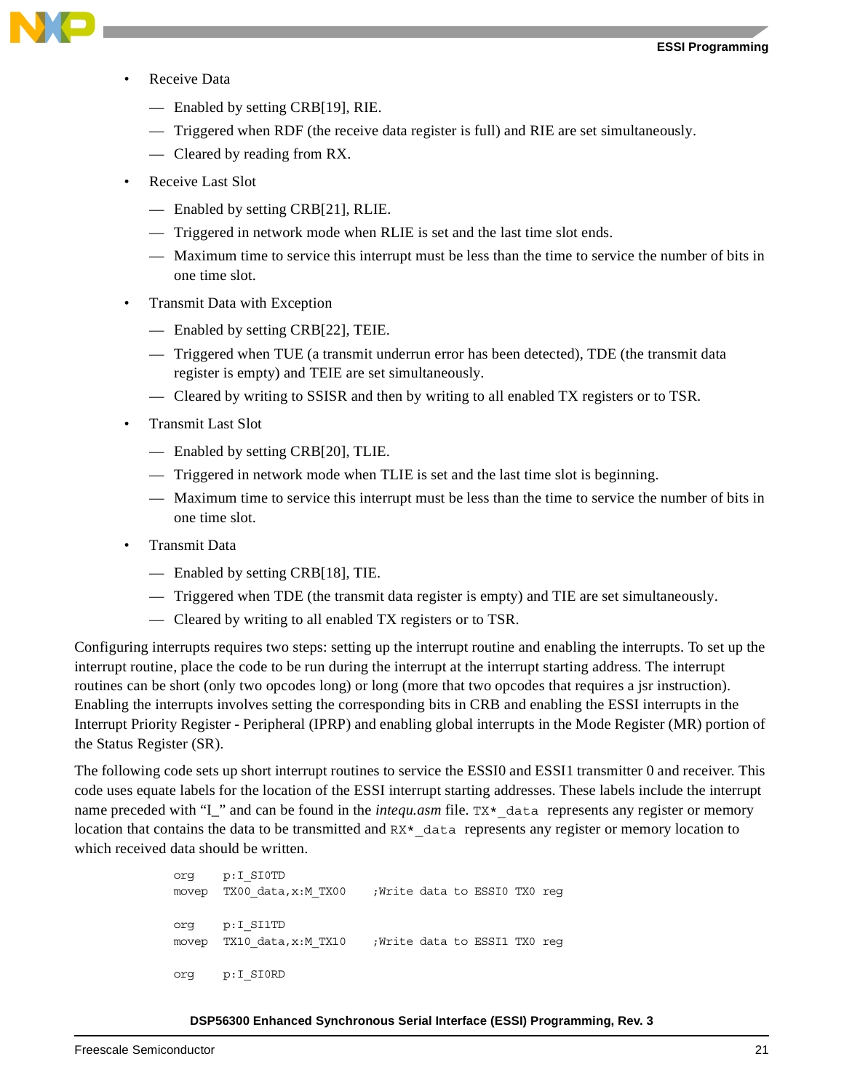

- Receive Data
	- Enabled by setting CRB[19], RIE.
	- Triggered when RDF (the receive data register is full) and RIE are set simultaneously.
	- Cleared by reading from RX.
- Receive Last Slot
	- Enabled by setting CRB[21], RLIE.
	- Triggered in network mode when RLIE is set and the last time slot ends.
	- Maximum time to service this interrupt must be less than the time to service the number of bits in one time slot.
- Transmit Data with Exception
	- Enabled by setting CRB[22], TEIE.
	- Triggered when TUE (a transmit underrun error has been detected), TDE (the transmit data register is empty) and TEIE are set simultaneously.
	- Cleared by writing to SSISR and then by writing to all enabled TX registers or to TSR.
- Transmit Last Slot
	- Enabled by setting CRB[20], TLIE.
	- Triggered in network mode when TLIE is set and the last time slot is beginning.
	- Maximum time to service this interrupt must be less than the time to service the number of bits in one time slot.
- Transmit Data
	- Enabled by setting CRB[18], TIE.
	- Triggered when TDE (the transmit data register is empty) and TIE are set simultaneously.
	- Cleared by writing to all enabled TX registers or to TSR.

Configuring interrupts requires two steps: setting up the interrupt routine and enabling the interrupts. To set up the interrupt routine, place the code to be run during the interrupt at the interrupt starting address. The interrupt routines can be short (only two opcodes long) or long (more that two opcodes that requires a jsr instruction). Enabling the interrupts involves setting the corresponding bits in CRB and enabling the ESSI interrupts in the Interrupt Priority Register - Peripheral (IPRP) and enabling global interrupts in the Mode Register (MR) portion of the Status Register (SR).

The following code sets up short interrupt routines to service the ESSI0 and ESSI1 transmitter 0 and receiver. This code uses equate labels for the location of the ESSI interrupt starting addresses. These labels include the interrupt name preceded with "I\_" and can be found in the *intequ.asm* file. TX\* data represents any register or memory location that contains the data to be transmitted and RX\*\_data represents any register or memory location to which received data should be written.

> org p:I\_SI0TD movep TX00\_data,x:M\_TX00 ;Write data to ESSI0 TX0 reg org p:I\_SI1TD movep TX10 data,x:M TX10 ;Write data to ESSI1 TX0 reg org p:I\_SI0RD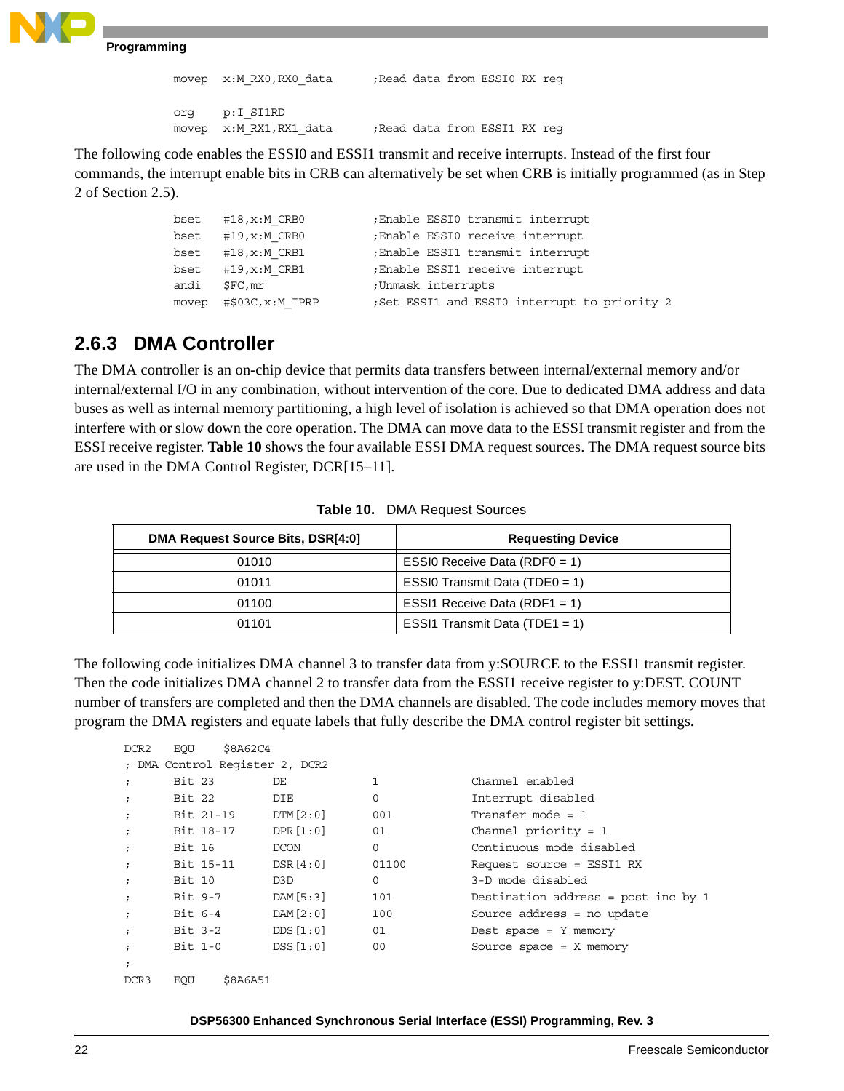```
movep x:M RX0,RX0 data ;Read data from ESSI0 RX reg
org p:I_SI1RD
movep x:M RX1,RX1 data ;Read data from ESSI1 RX reg
```
The following code enables the ESSI0 and ESSI1 transmit and receive interrupts. Instead of the first four commands, the interrupt enable bits in CRB can alternatively be set when CRB is initially programmed (as in Step 2 of [Section 2.5\)](#page-18-0).

```
bset #18,x:M_CRB0 ;Enable ESSI0 transmit interrupt
bset #19, x: M CRB0 ;Enable ESSI0 receive interrupt
bset #18,x:M_CRB1 ;Enable ESSI1 transmit interrupt
bset #19,x:M_CRB1 ;Enable ESSI1 receive interrupt
andi $FC, mr ;Unmask interrupts
movep #$03C,x:M_IPRP ;Set ESSI1 and ESSI0 interrupt to priority 2
```
#### **2.6.3 DMA Controller**

The DMA controller is an on-chip device that permits data transfers between internal/external memory and/or internal/external I/O in any combination, without intervention of the core. Due to dedicated DMA address and data buses as well as internal memory partitioning, a high level of isolation is achieved so that DMA operation does not interfere with or slow down the core operation. The DMA can move data to the ESSI transmit register and from the ESSI receive register. **[Table 10](#page-21-0)** shows the four available ESSI DMA request sources. The DMA request source bits are used in the DMA Control Register, DCR[15–11].

<span id="page-21-0"></span>

| <b>DMA Request Source Bits, DSR[4:0]</b> | <b>Requesting Device</b>         |
|------------------------------------------|----------------------------------|
| 01010                                    | ESSI0 Receive Data (RDF0 = 1)    |
| 01011                                    | ESSI0 Transmit Data $(TDE0 = 1)$ |
| 01100                                    | ESSI1 Receive Data (RDF1 = 1)    |
| 01101                                    | ESSI1 Transmit Data (TDE1 = 1)   |

**Table 10.** DMA Request Sources

The following code initializes DMA channel 3 to transfer data from y:SOURCE to the ESSI1 transmit register. Then the code initializes DMA channel 2 to transfer data from the ESSI1 receive register to y:DEST. COUNT number of transfers are completed and then the DMA channels are disabled. The code includes memory moves that program the DMA registers and equate labels that fully describe the DMA control register bit settings.

```
DCR2 EQU $8A62C4
; DMA Control Register 2, DCR2
; Bit 23 DE 1 Channel enabled
; Bit 22 DIE 0 Interrupt disabled
; Bit 21-19 DTM[2:0] 001 Transfer mode = 1
; Bit 18-17 DPR[1:0] 01 Channel priority = 1
; Bit 16 DCON 0 Continuous mode disabled
; Bit 15-11 DSR[4:0] 01100 Request source = ESSI1 RX
; Bit 10 D3D 0 3-D mode disabled
; Bit 9-7 DAM[5:3] 101 Destination address = post inc by 1
; Bit 6-4 DAM[2:0] 100 Source address = no update
; Bit 3-2 DDS [1:0] 01 Dest space = Y memory
; Bit 1-0 DSS[1:0] 00 Source space = X memory
;
DCR3 EQU $8A6A51
```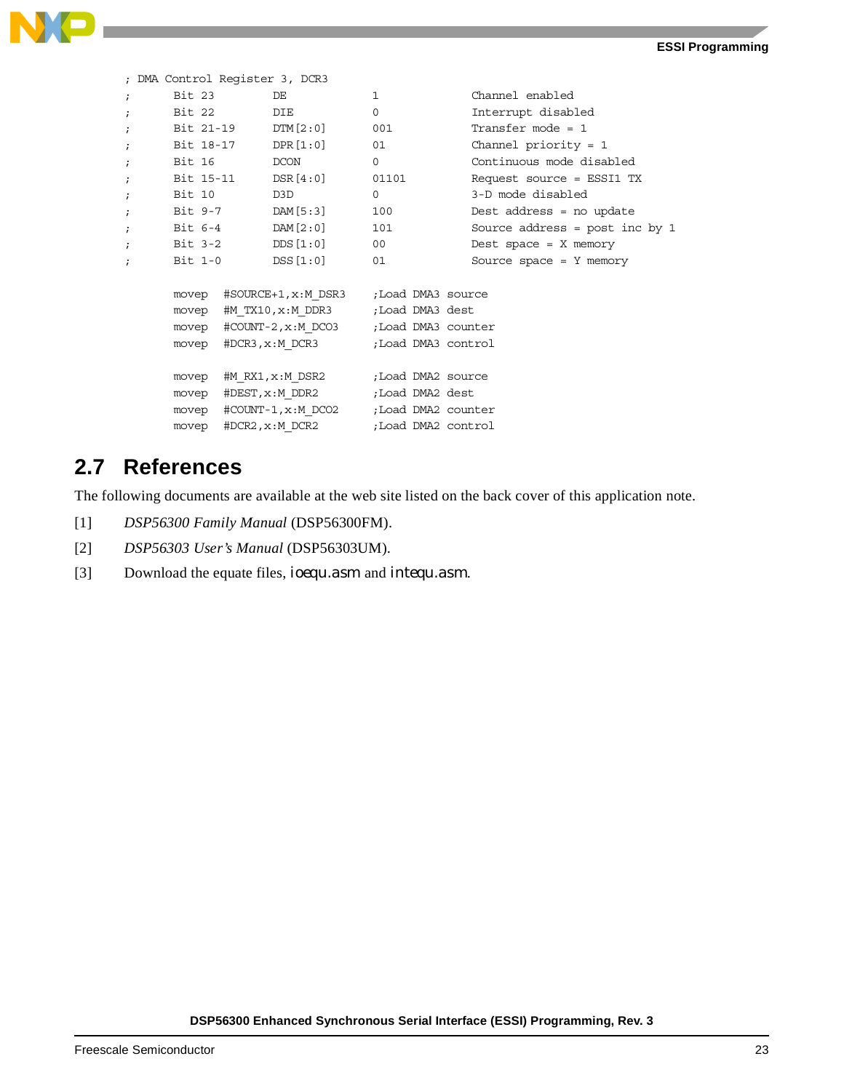

```
; DMA Control Register 3, DCR3
; Bit 23 DE 1 Channel enabled
; Bit 22 DIE 0 Interrupt disabled
; Bit 21-19 DTM[2:0] 001 Transfer mode = 1
; Bit 18-17 DPR[1:0] 01 Channel priority = 1
; Bit 16 DCON 0 Continuous mode disabled
; Bit 15-11 DSR[4:0] 01101 Request source = ESSI1 TX
; Bit 10 D3D 0 3-D mode disabled
; Bit 9-7 DAM[5:3] 100 Dest address = no update 
; Bit 6-4 DAM[2:0] 101 Source address = post inc by 1
; Bit 3-2 DDS[1:0] 00 Dest space = X memory
; Bit 1-0 DSS[1:0] 01 Source space = Y memory
    movep #SOURCE+1, x: M DSR3 ; Load DMA3 source
    movep #M_TX10,x:M_DDR3 ;Load DMA3 dest
    movep #COUNT-2, x: M DCO3 ;Load DMA3 counter
    movep #DCR3, x: M_DCR3 ;Load DMA3 control
    movep #M_RX1,x:M_DSR2 ;Load DMA2 source
    movep #DEST, x: M DDR2 ; Load DMA2 dest
    movep #COUNT-1, x: M DCO2 ; Load DMA2 counter
    movep #DCR2, x: M DCR2 ;Load DMA2 control
```
## **2.7 References**

The following documents are available at the web site listed on the back cover of this application note.

- [1] *DSP56300 Family Manual* (DSP56300FM).
- [2] *DSP56303 User's Manual* (DSP56303UM).
- [3] Download the equate files, *ioequ.asm* and *intequ.asm*.